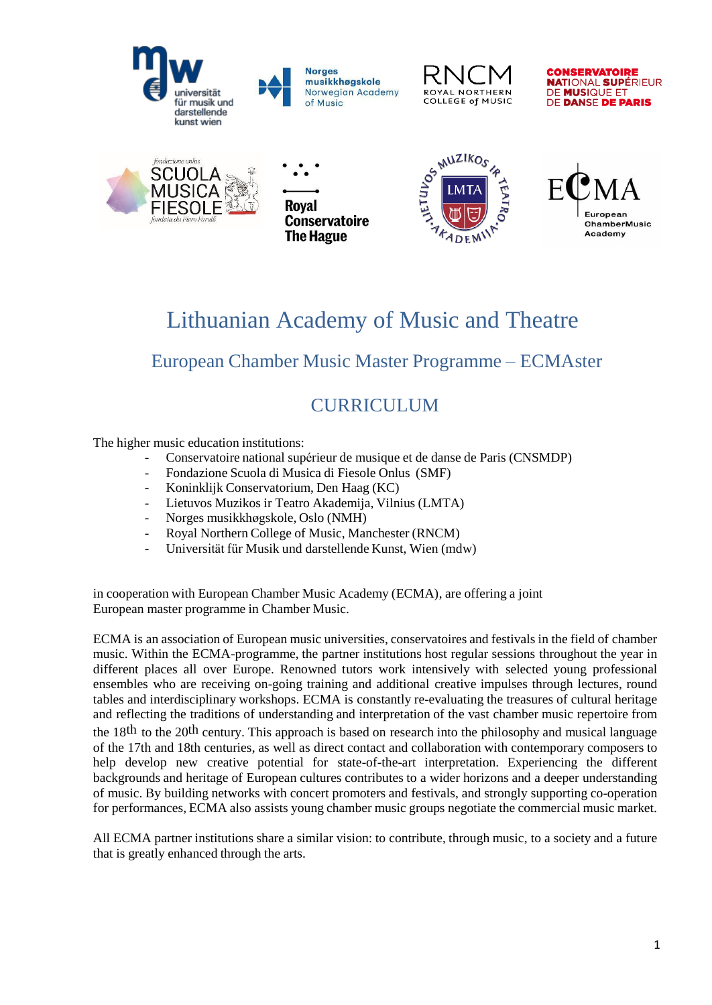









**Roval Conservatoire** The Hague





# Lithuanian Academy of Music and Theatre

## European Chamber Music Master Programme – ECMAster

## CURRICULUM

The higher music education institutions:

- Conservatoire national supérieur de musique et de danse de Paris (CNSMDP)
- Fondazione Scuola di Musica di Fiesole Onlus (SMF)
- Koninklijk Conservatorium, Den Haag (KC)
- Lietuvos Muzikos ir Teatro Akademija, Vilnius (LMTA)
- Norges musikkhøgskole, Oslo (NMH)
- Royal Northern College of Music, Manchester (RNCM)
- Universität für Musik und darstellende Kunst, Wien (mdw)

in cooperation with European Chamber Music Academy (ECMA), are offering a joint European master programme in Chamber Music.

ECMA is an association of European music universities, conservatoires and festivals in the field of chamber music. Within the ECMA-programme, the partner institutions host regular sessions throughout the year in different places all over Europe. Renowned tutors work intensively with selected young professional ensembles who are receiving on-going training and additional creative impulses through lectures, round tables and interdisciplinary workshops. ECMA is constantly re-evaluating the treasures of cultural heritage and reflecting the traditions of understanding and interpretation of the vast chamber music repertoire from the 18th to the 20th century. This approach is based on research into the philosophy and musical language of the 17th and 18th centuries, as well as direct contact and collaboration with contemporary composers to help develop new creative potential for state-of-the-art interpretation. Experiencing the different backgrounds and heritage of European cultures contributes to a wider horizons and a deeper understanding of music. By building networks with concert promoters and festivals, and strongly supporting co-operation for performances, ECMA also assists young chamber music groups negotiate the commercial music market.

All ECMA partner institutions share a similar vision: to contribute, through music, to a society and a future that is greatly enhanced through the arts.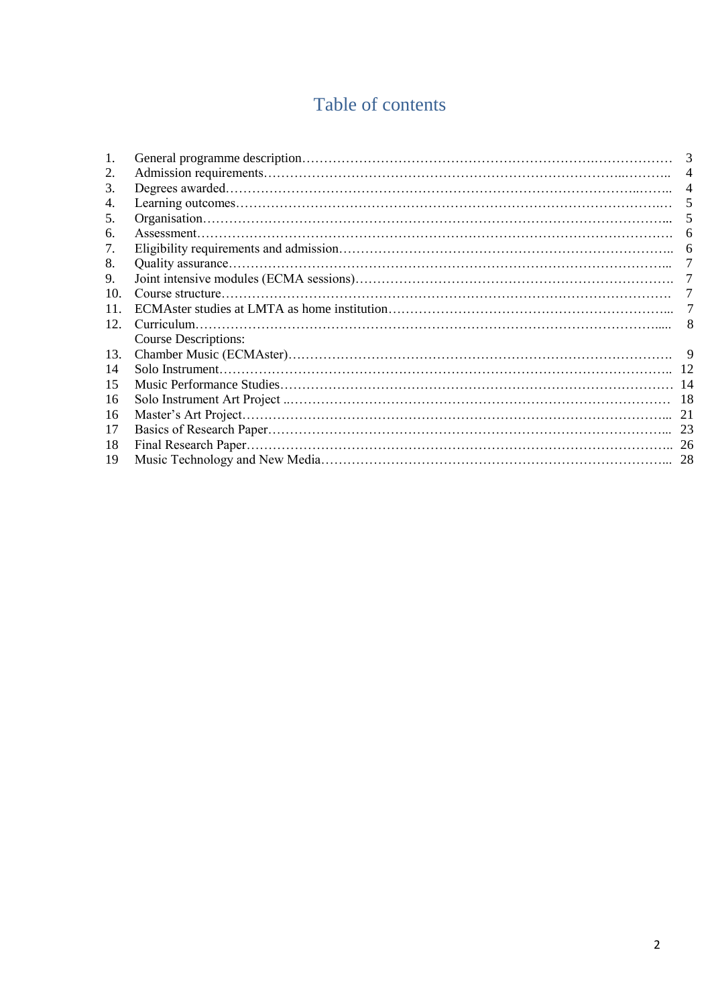# Table of contents

|     |                             | 3             |
|-----|-----------------------------|---------------|
| 2.  |                             |               |
| 3.  |                             |               |
| 4.  |                             | $\mathcal{F}$ |
| 5.  |                             |               |
| 6.  |                             |               |
| 7.  |                             |               |
| 8.  |                             |               |
| 9.  |                             |               |
| 10. |                             |               |
| 11  |                             | 7             |
| 12. |                             |               |
|     | <b>Course Descriptions:</b> |               |
| 13. |                             |               |
| 14  |                             |               |
| 15  |                             |               |
| 16  |                             |               |
| 16  |                             |               |
| 17  |                             |               |
| 18  |                             |               |
| 19  |                             | 28            |
|     |                             |               |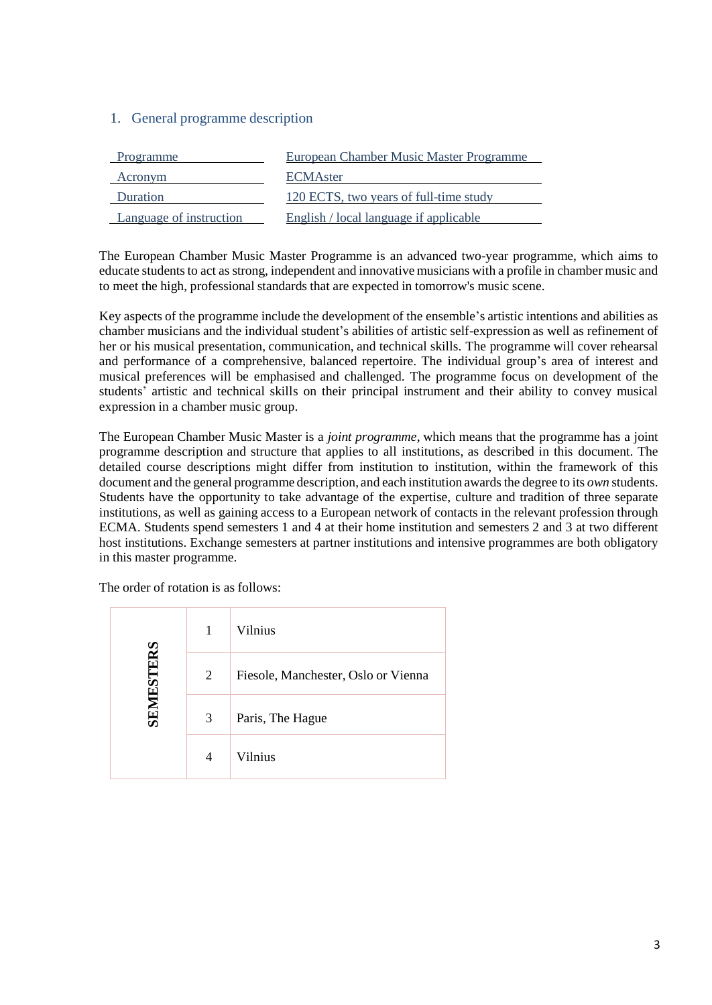## 1. General programme description

| Programme               | European Chamber Music Master Programme |
|-------------------------|-----------------------------------------|
| Acronym                 | <b>ECMA</b> ster                        |
| Duration                | 120 ECTS, two years of full-time study  |
| Language of instruction | English / local language if applicable  |

The European Chamber Music Master Programme is an advanced two-year programme, which aims to educate students to act as strong, independent and innovative musicians with a profile in chamber music and to meet the high, professional standards that are expected in tomorrow's music scene.

Key aspects of the programme include the development of the ensemble's artistic intentions and abilities as chamber musicians and the individual student's abilities of artistic self-expression as well as refinement of her or his musical presentation, communication, and technical skills. The programme will cover rehearsal and performance of a comprehensive, balanced repertoire. The individual group's area of interest and musical preferences will be emphasised and challenged. The programme focus on development of the students' artistic and technical skills on their principal instrument and their ability to convey musical expression in a chamber music group.

The European Chamber Music Master is a *joint programme*, which means that the programme has a joint programme description and structure that applies to all institutions, as described in this document. The detailed course descriptions might differ from institution to institution, within the framework of this document and the general programme description, and each institution awards the degree to its *own* students. Students have the opportunity to take advantage of the expertise, culture and tradition of three separate institutions, as well as gaining access to a European network of contacts in the relevant profession through ECMA. Students spend semesters 1 and 4 at their home institution and semesters 2 and 3 at two different host institutions. Exchange semesters at partner institutions and intensive programmes are both obligatory in this master programme.

|           | 1 | Vilnius                             |
|-----------|---|-------------------------------------|
| SEMESTERS | 2 | Fiesole, Manchester, Oslo or Vienna |
|           | 3 | Paris, The Hague                    |
|           | 4 | Vilnius                             |

The order of rotation is as follows: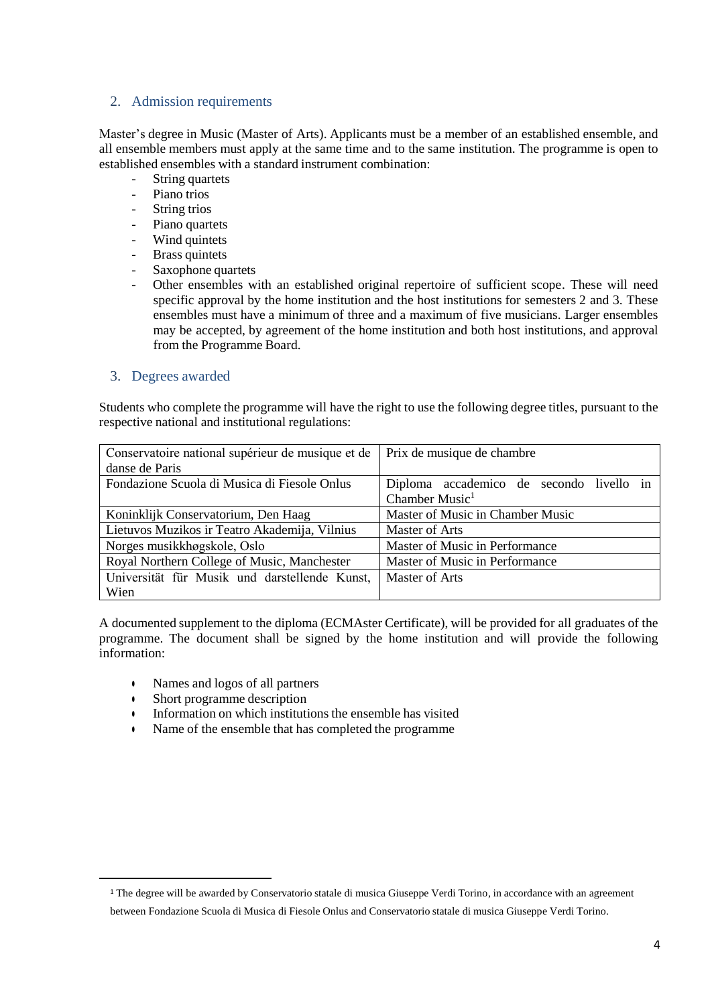#### 2. Admission requirements

Master's degree in Music (Master of Arts). Applicants must be a member of an established ensemble, and all ensemble members must apply at the same time and to the same institution. The programme is open to established ensembles with a standard instrument combination:

- String quartets
- Piano trios
- String trios
- Piano quartets
- Wind quintets
- **Brass quintets**
- Saxophone quartets
- Other ensembles with an established original repertoire of sufficient scope. These will need specific approval by the home institution and the host institutions for semesters 2 and 3. These ensembles must have a minimum of three and a maximum of five musicians. Larger ensembles may be accepted, by agreement of the home institution and both host institutions, and approval from the Programme Board.

#### 3. Degrees awarded

Students who complete the programme will have the right to use the following degree titles, pursuant to the respective national and institutional regulations:

| Conservatoire national supérieur de musique et de | Prix de musique de chambre               |  |  |  |  |  |  |  |  |
|---------------------------------------------------|------------------------------------------|--|--|--|--|--|--|--|--|
| danse de Paris                                    |                                          |  |  |  |  |  |  |  |  |
| Fondazione Scuola di Musica di Fiesole Onlus      | Diploma accademico de secondo livello in |  |  |  |  |  |  |  |  |
|                                                   | Chamber Music <sup>1</sup>               |  |  |  |  |  |  |  |  |
| Koninklijk Conservatorium, Den Haag               | Master of Music in Chamber Music         |  |  |  |  |  |  |  |  |
| Lietuvos Muzikos ir Teatro Akademija, Vilnius     | Master of Arts                           |  |  |  |  |  |  |  |  |
| Norges musikkhøgskole, Oslo                       | Master of Music in Performance           |  |  |  |  |  |  |  |  |
| Royal Northern College of Music, Manchester       | Master of Music in Performance           |  |  |  |  |  |  |  |  |
| Universität für Musik und darstellende Kunst,     | Master of Arts                           |  |  |  |  |  |  |  |  |
| Wien                                              |                                          |  |  |  |  |  |  |  |  |

A documented supplement to the diploma (ECMAster Certificate), will be provided for all graduates of the programme. The document shall be signed by the home institution and will provide the following information:

- Names and logos of all partners
- Short programme description

 $\overline{a}$ 

- Information on which institutions the ensemble has visited
- Name of the ensemble that has completed the programme

<sup>&</sup>lt;sup>1</sup> The degree will be awarded by Conservatorio statale di musica Giuseppe Verdi Torino, in accordance with an agreement between Fondazione Scuola di Musica di Fiesole Onlus and Conservatorio statale di musica Giuseppe Verdi Torino.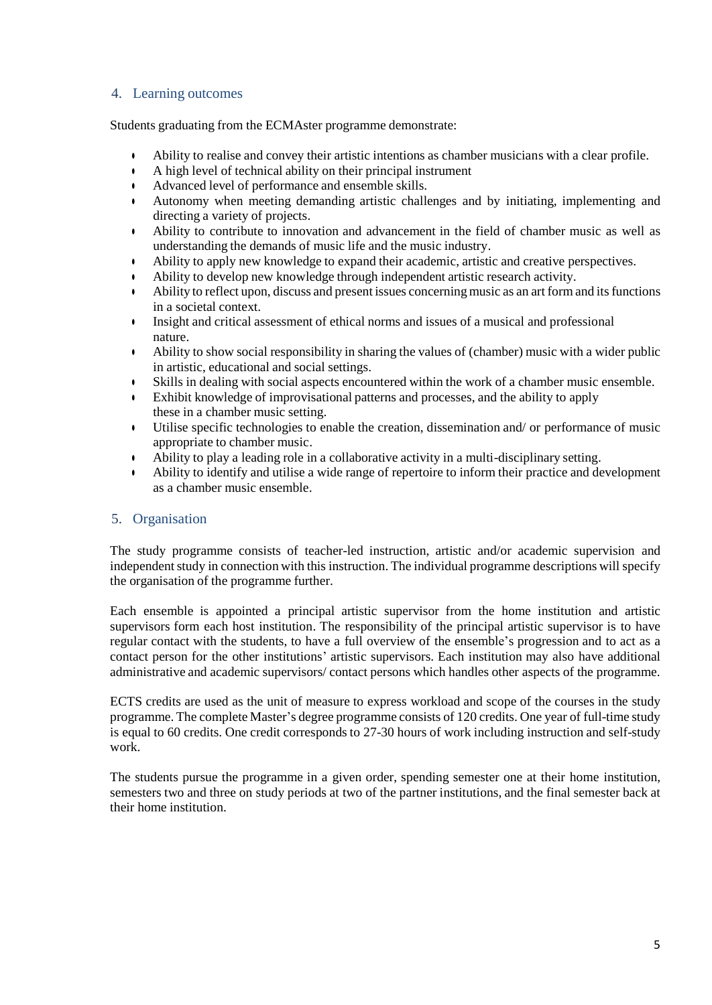#### 4. Learning outcomes

Students graduating from the ECMAster programme demonstrate:

- Ability to realise and convey their artistic intentions as chamber musicians with a clear profile.
- A high level of technical ability on their principal instrument
- Advanced level of performance and ensemble skills.
- Autonomy when meeting demanding artistic challenges and by initiating, implementing and directing a variety of projects.
- Ability to contribute to innovation and advancement in the field of chamber music as well as understanding the demands of music life and the music industry.
- Ability to apply new knowledge to expand their academic, artistic and creative perspectives.
- Ability to develop new knowledge through independent artistic research activity.
- Ability to reflect upon, discuss and present issues concerning music as an art form and its functions in a societal context.
- Insight and critical assessment of ethical norms and issues of a musical and professional nature.
- Ability to show social responsibility in sharing the values of (chamber) music with a wider public in artistic, educational and social settings.
- Skills in dealing with social aspects encountered within the work of a chamber music ensemble.
- Exhibit knowledge of improvisational patterns and processes, and the ability to apply these in a chamber music setting.
- Utilise specific technologies to enable the creation, dissemination and/ or performance of music appropriate to chamber music.
- Ability to play a leading role in a collaborative activity in a multi-disciplinary setting.
- Ability to identify and utilise a wide range of repertoire to inform their practice and development as a chamber music ensemble.

#### 5. Organisation

The study programme consists of teacher-led instruction, artistic and/or academic supervision and independent study in connection with this instruction. The individual programme descriptions will specify the organisation of the programme further.

Each ensemble is appointed a principal artistic supervisor from the home institution and artistic supervisors form each host institution. The responsibility of the principal artistic supervisor is to have regular contact with the students, to have a full overview of the ensemble's progression and to act as a contact person for the other institutions' artistic supervisors. Each institution may also have additional administrative and academic supervisors/ contact persons which handles other aspects of the programme.

ECTS credits are used as the unit of measure to express workload and scope of the courses in the study programme. The complete Master's degree programme consists of 120 credits. One year of full-time study is equal to 60 credits. One credit corresponds to 27-30 hours of work including instruction and self-study work.

The students pursue the programme in a given order, spending semester one at their home institution, semesters two and three on study periods at two of the partner institutions, and the final semester back at their home institution.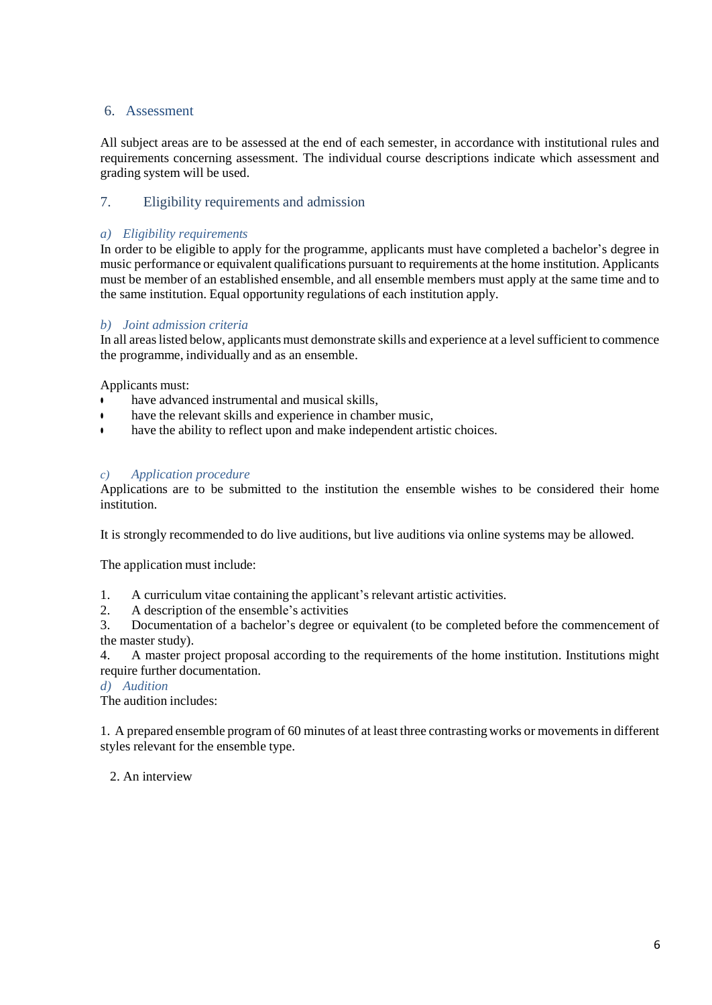#### 6. Assessment

All subject areas are to be assessed at the end of each semester, in accordance with institutional rules and requirements concerning assessment. The individual course descriptions indicate which assessment and grading system will be used.

## 7. Eligibility requirements and admission

#### *a) Eligibility requirements*

In order to be eligible to apply for the programme, applicants must have completed a bachelor's degree in music performance or equivalent qualifications pursuant to requirements at the home institution. Applicants must be member of an established ensemble, and all ensemble members must apply at the same time and to the same institution. Equal opportunity regulations of each institution apply.

#### *b) Joint admission criteria*

In all areas listed below, applicants must demonstrate skills and experience at a level sufficient to commence the programme, individually and as an ensemble.

Applicants must:

- have advanced instrumental and musical skills,
- **•** have the relevant skills and experience in chamber music,
- have the ability to reflect upon and make independent artistic choices.

#### *c) Application procedure*

Applications are to be submitted to the institution the ensemble wishes to be considered their home institution.

It is strongly recommended to do live auditions, but live auditions via online systems may be allowed.

The application must include:

- 1. A curriculum vitae containing the applicant's relevant artistic activities.
- 2. A description of the ensemble's activities

3. Documentation of a bachelor's degree or equivalent (to be completed before the commencement of the master study).

4. A master project proposal according to the requirements of the home institution. Institutions might require further documentation.

*d) Audition*

The audition includes:

1. A prepared ensemble program of 60 minutes of at least three contrasting works or movements in different styles relevant for the ensemble type.

2. An interview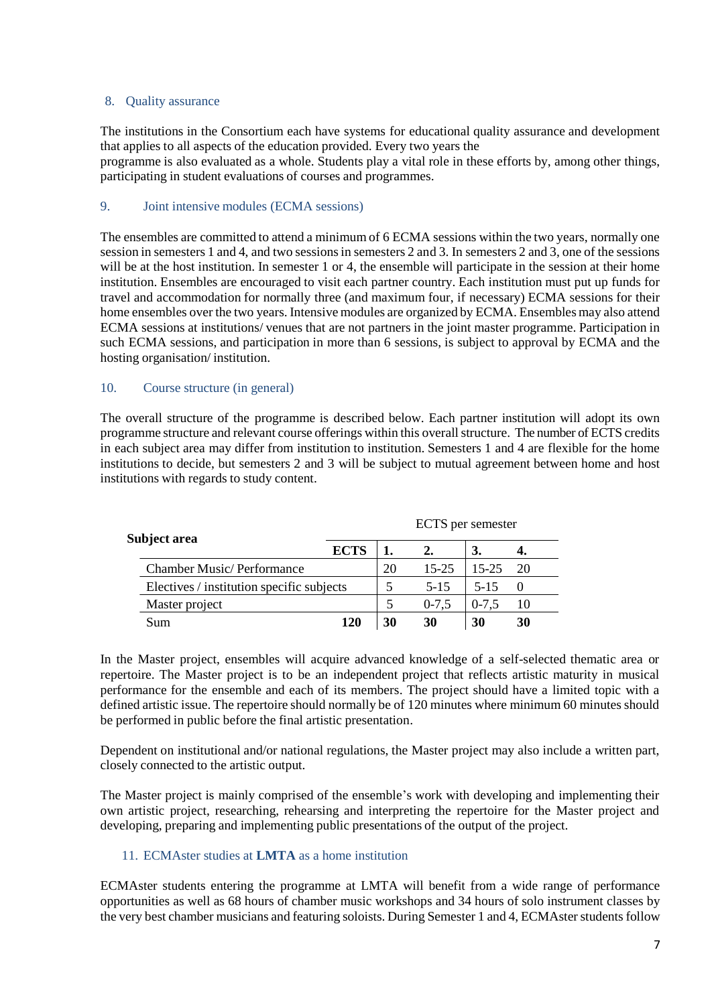#### 8. Quality assurance

The institutions in the Consortium each have systems for educational quality assurance and development that applies to all aspects of the education provided. Every two years the programme is also evaluated as a whole. Students play a vital role in these efforts by, among other things, participating in student evaluations of courses and programmes.

#### 9. Joint intensive modules (ECMA sessions)

The ensembles are committed to attend a minimum of 6 ECMA sessions within the two years, normally one session in semesters 1 and 4, and two sessionsin semesters 2 and 3. In semesters 2 and 3, one of the sessions will be at the host institution. In semester 1 or 4, the ensemble will participate in the session at their home institution. Ensembles are encouraged to visit each partner country. Each institution must put up funds for travel and accommodation for normally three (and maximum four, if necessary) ECMA sessions for their home ensembles over the two years. Intensive modules are organized by ECMA. Ensembles may also attend ECMA sessions at institutions/ venues that are not partners in the joint master programme. Participation in such ECMA sessions, and participation in more than 6 sessions, is subject to approval by ECMA and the hosting organisation/ institution.

#### 10. Course structure (in general)

The overall structure of the programme is described below. Each partner institution will adopt its own programme structure and relevant course offerings within this overall structure. The number of ECTS credits in each subject area may differ from institution to institution. Semesters 1 and 4 are flexible for the home institutions to decide, but semesters 2 and 3 will be subject to mutual agreement between home and host institutions with regards to study content.

|                                                  | ECTS per semester |    |           |           |    |  |  |  |  |
|--------------------------------------------------|-------------------|----|-----------|-----------|----|--|--|--|--|
| Subject area<br><b>Chamber Music/Performance</b> | <b>ECTS</b>       |    |           |           |    |  |  |  |  |
|                                                  |                   | 20 | $15 - 25$ | $15 - 25$ | 20 |  |  |  |  |
| Electives / institution specific subjects        |                   |    | $5 - 15$  | $5 - 15$  |    |  |  |  |  |
| Master project                                   |                   |    | $0 - 7.5$ | $0 - 7.5$ | 10 |  |  |  |  |
| Sum                                              | 120               | 30 | 30        | 30        | 30 |  |  |  |  |

In the Master project, ensembles will acquire advanced knowledge of a self-selected thematic area or repertoire. The Master project is to be an independent project that reflects artistic maturity in musical performance for the ensemble and each of its members. The project should have a limited topic with a defined artistic issue. The repertoire should normally be of 120 minutes where minimum 60 minutes should be performed in public before the final artistic presentation.

Dependent on institutional and/or national regulations, the Master project may also include a written part, closely connected to the artistic output.

The Master project is mainly comprised of the ensemble's work with developing and implementing their own artistic project, researching, rehearsing and interpreting the repertoire for the Master project and developing, preparing and implementing public presentations of the output of the project.

#### 11. ECMAster studies at **LMTA** as a home institution

ECMAster students entering the programme at LMTA will benefit from a wide range of performance opportunities as well as 68 hours of chamber music workshops and 34 hours of solo instrument classes by the very best chamber musicians and featuring soloists. During Semester 1 and 4, ECMAster students follow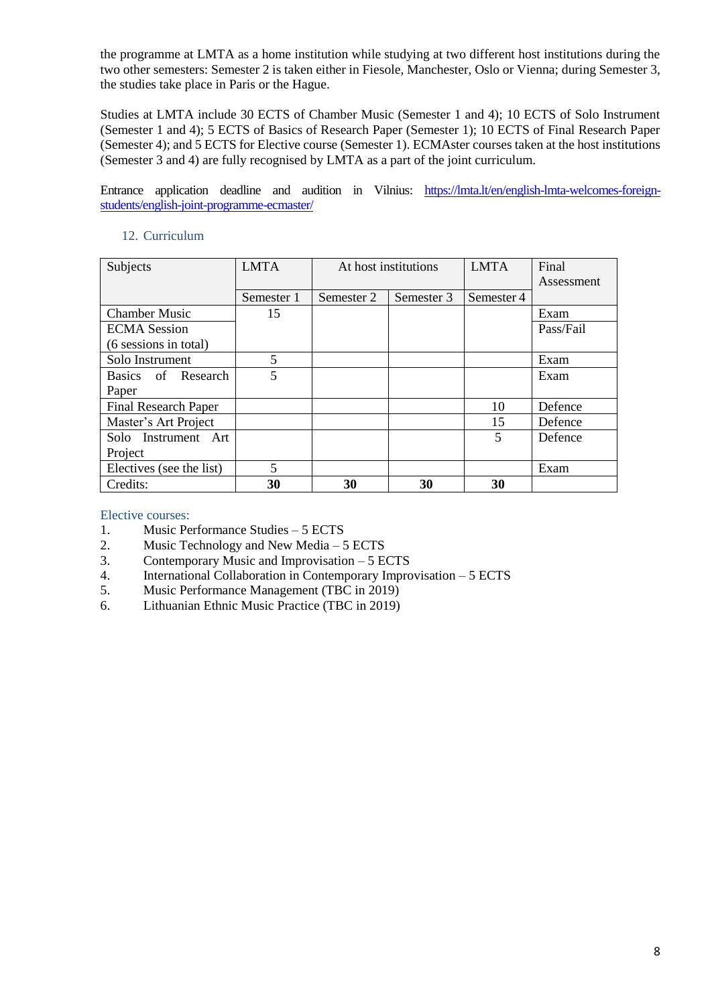the programme at LMTA as a home institution while studying at two different host institutions during the two other semesters: Semester 2 is taken either in Fiesole, Manchester, Oslo or Vienna; during Semester 3, the studies take place in Paris or the Hague.

Studies at LMTA include 30 ECTS of Chamber Music (Semester 1 and 4); 10 ECTS of Solo Instrument (Semester 1 and 4); 5 ECTS of Basics of Research Paper (Semester 1); 10 ECTS of Final Research Paper (Semester 4); and 5 ECTS for Elective course (Semester 1). ECMAster courses taken at the host institutions (Semester 3 and 4) are fully recognised by LMTA as a part of the joint curriculum.

Entrance application deadline and audition in Vilnius: [https://lmta.lt/en/english-lmta-welcomes-foreign](https://lmta.lt/en/english-lmta-welcomes-foreign-students/english-joint-programme-ecmaster/)[students/english-joint-programme-ecmaster/](https://lmta.lt/en/english-lmta-welcomes-foreign-students/english-joint-programme-ecmaster/)

| 12. Curriculum |  |  |
|----------------|--|--|
|                |  |  |

| Subjects                    | <b>LMTA</b> |            | At host institutions | <b>LMTA</b> | Final      |
|-----------------------------|-------------|------------|----------------------|-------------|------------|
|                             |             |            |                      |             | Assessment |
|                             | Semester 1  | Semester 2 | Semester 3           | Semester 4  |            |
| <b>Chamber Music</b>        | 15          |            |                      |             | Exam       |
| <b>ECMA</b> Session         |             |            |                      |             | Pass/Fail  |
| (6 sessions in total)       |             |            |                      |             |            |
| Solo Instrument             | 5           |            |                      |             | Exam       |
| Basics of Research          | 5           |            |                      |             | Exam       |
| Paper                       |             |            |                      |             |            |
| <b>Final Research Paper</b> |             |            |                      | 10          | Defence    |
| Master's Art Project        |             |            |                      | 15          | Defence    |
| Solo Instrument Art         |             |            |                      | 5           | Defence    |
| Project                     |             |            |                      |             |            |
| Electives (see the list)    | 5           |            |                      |             | Exam       |
| Credits:                    | 30          | 30         | 30                   | 30          |            |

Elective courses:

- 1. Music Performance Studies 5 ECTS
- 2. Music Technology and New Media 5 ECTS
- 3. Contemporary Music and Improvisation 5 ECTS
- 4. International Collaboration in Contemporary Improvisation 5 ECTS
- 5. Music Performance Management (TBC in 2019)
- 6. Lithuanian Ethnic Music Practice (TBC in 2019)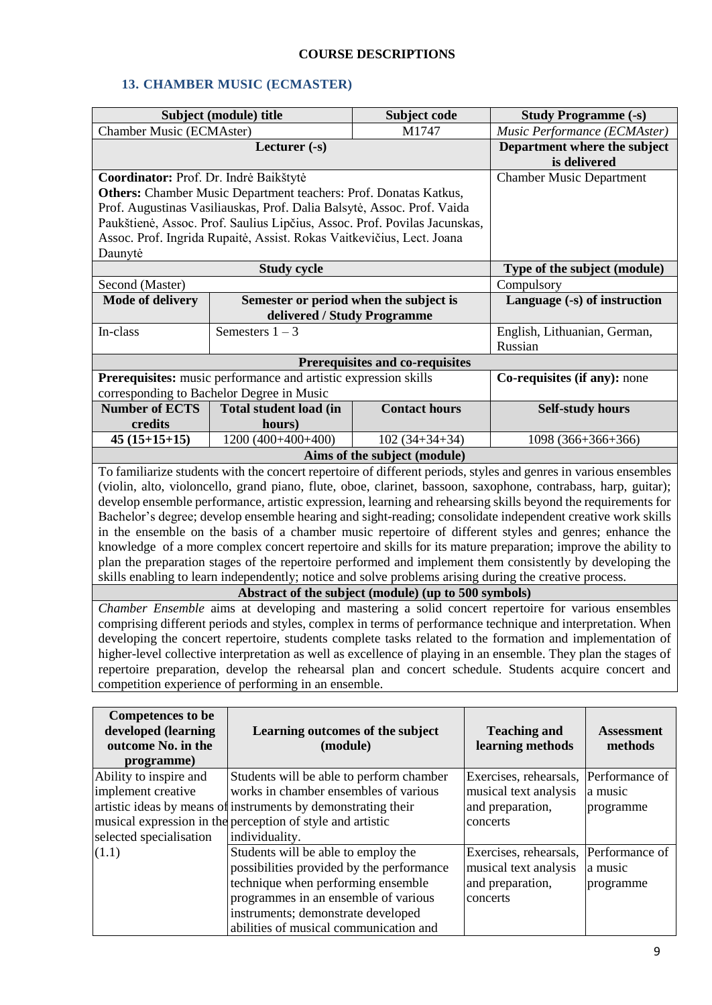## **COURSE DESCRIPTIONS**

## **13. CHAMBER MUSIC (ECMASTER)**

|                                                                                                                                                                | Subject (module) title                                                    | Subject code                                    | <b>Study Programme (-s)</b>                                                                                      |  |  |  |  |  |
|----------------------------------------------------------------------------------------------------------------------------------------------------------------|---------------------------------------------------------------------------|-------------------------------------------------|------------------------------------------------------------------------------------------------------------------|--|--|--|--|--|
| <b>Chamber Music (ECMAster)</b>                                                                                                                                |                                                                           | M1747                                           | Music Performance (ECMAster)                                                                                     |  |  |  |  |  |
|                                                                                                                                                                | Lecturer (-s)                                                             | Department where the subject<br>is delivered    |                                                                                                                  |  |  |  |  |  |
| Coordinator: Prof. Dr. Indrė Baikštytė                                                                                                                         |                                                                           |                                                 | <b>Chamber Music Department</b>                                                                                  |  |  |  |  |  |
|                                                                                                                                                                | Others: Chamber Music Department teachers: Prof. Donatas Katkus,          |                                                 |                                                                                                                  |  |  |  |  |  |
|                                                                                                                                                                | Prof. Augustinas Vasiliauskas, Prof. Dalia Balsytė, Assoc. Prof. Vaida    |                                                 |                                                                                                                  |  |  |  |  |  |
|                                                                                                                                                                | Paukštienė, Assoc. Prof. Saulius Lipčius, Assoc. Prof. Povilas Jacunskas, |                                                 |                                                                                                                  |  |  |  |  |  |
|                                                                                                                                                                | Assoc. Prof. Ingrida Rupaitė, Assist. Rokas Vaitkevičius, Lect. Joana     |                                                 |                                                                                                                  |  |  |  |  |  |
| Daunytė                                                                                                                                                        |                                                                           |                                                 |                                                                                                                  |  |  |  |  |  |
|                                                                                                                                                                | <b>Study cycle</b>                                                        |                                                 | Type of the subject (module)                                                                                     |  |  |  |  |  |
| Second (Master)                                                                                                                                                |                                                                           |                                                 | Compulsory                                                                                                       |  |  |  |  |  |
| <b>Mode of delivery</b>                                                                                                                                        | Semester or period when the subject is                                    |                                                 | Language (-s) of instruction                                                                                     |  |  |  |  |  |
|                                                                                                                                                                | delivered / Study Programme                                               |                                                 |                                                                                                                  |  |  |  |  |  |
| In-class                                                                                                                                                       | Semesters $1 - 3$                                                         |                                                 | English, Lithuanian, German,<br>Russian                                                                          |  |  |  |  |  |
|                                                                                                                                                                |                                                                           | Prerequisites and co-requisites                 |                                                                                                                  |  |  |  |  |  |
|                                                                                                                                                                | Prerequisites: music performance and artistic expression skills           |                                                 | Co-requisites (if any): none                                                                                     |  |  |  |  |  |
|                                                                                                                                                                | corresponding to Bachelor Degree in Music                                 |                                                 |                                                                                                                  |  |  |  |  |  |
| <b>Number of ECTS</b><br>credits                                                                                                                               | <b>Total student load (in</b>                                             | <b>Contact hours</b>                            | <b>Self-study hours</b>                                                                                          |  |  |  |  |  |
|                                                                                                                                                                | hours)                                                                    |                                                 |                                                                                                                  |  |  |  |  |  |
| $45(15+15+15)$                                                                                                                                                 | $1200(400+400+400)$                                                       | $102(34+34+34)$<br>Aims of the subject (module) | 1098 (366+366+366)                                                                                               |  |  |  |  |  |
|                                                                                                                                                                |                                                                           |                                                 | To familiarize students with the concert repertoire of different periods, styles and genres in various ensembles |  |  |  |  |  |
|                                                                                                                                                                |                                                                           |                                                 | (violin, alto, violoncello, grand piano, flute, oboe, clarinet, bassoon, saxophone, contrabass, harp, guitar);   |  |  |  |  |  |
|                                                                                                                                                                |                                                                           |                                                 | develop ensemble performance, artistic expression, learning and rehearsing skills beyond the requirements for    |  |  |  |  |  |
|                                                                                                                                                                |                                                                           |                                                 | Bachelor's degree; develop ensemble hearing and sight-reading; consolidate independent creative work skills      |  |  |  |  |  |
|                                                                                                                                                                |                                                                           |                                                 | in the ensemble on the basis of a chamber music repertoire of different styles and genres; enhance the           |  |  |  |  |  |
|                                                                                                                                                                |                                                                           |                                                 | knowledge of a more complex concert repertoire and skills for its mature preparation; improve the ability to     |  |  |  |  |  |
|                                                                                                                                                                |                                                                           |                                                 | plan the preparation stages of the repertoire performed and implement them consistently by developing the        |  |  |  |  |  |
|                                                                                                                                                                |                                                                           |                                                 |                                                                                                                  |  |  |  |  |  |
| skills enabling to learn independently; notice and solve problems arising during the creative process.<br>Abstract of the subject (module) (up to 500 symbols) |                                                                           |                                                 |                                                                                                                  |  |  |  |  |  |
|                                                                                                                                                                |                                                                           |                                                 | Chamber Ensemble aims at developing and mastering a solid concert repertoire for various ensembles               |  |  |  |  |  |
| comprising different periods and styles, complex in terms of performance technique and interpretation. When                                                    |                                                                           |                                                 |                                                                                                                  |  |  |  |  |  |
| developing the concert repertoire, students complete tasks related to the formation and implementation of                                                      |                                                                           |                                                 |                                                                                                                  |  |  |  |  |  |
|                                                                                                                                                                |                                                                           |                                                 | higher-level collective interpretation as well as excellence of playing in an ensemble. They plan the stages of  |  |  |  |  |  |
|                                                                                                                                                                |                                                                           |                                                 | repertoire preparation, develop the rehearsal plan and concert schedule. Students acquire concert and            |  |  |  |  |  |
|                                                                                                                                                                | competition experience of performing in an ensemble.                      |                                                 |                                                                                                                  |  |  |  |  |  |

| <b>Competences to be</b><br>developed (learning<br>outcome No. in the<br>programme) | Learning outcomes of the subject<br>(module)                                      | <b>Teaching and</b><br>learning methods   | <b>Assessment</b><br>methods |
|-------------------------------------------------------------------------------------|-----------------------------------------------------------------------------------|-------------------------------------------|------------------------------|
| Ability to inspire and                                                              | Students will be able to perform chamber<br>works in chamber ensembles of various | Exercises, rehearsals, Performance of     |                              |
| implement creative                                                                  | artistic ideas by means of instruments by demonstrating their                     | musical text analysis<br>and preparation, | a music                      |
|                                                                                     | musical expression in the perception of style and artistic                        | concerts                                  | programme                    |
| selected specialisation                                                             | individuality.                                                                    |                                           |                              |
| (1.1)                                                                               | Students will be able to employ the                                               | Exercises, rehearsals,                    | Performance of               |
|                                                                                     | possibilities provided by the performance                                         | musical text analysis                     | a music                      |
|                                                                                     | technique when performing ensemble                                                | and preparation,                          | programme                    |
|                                                                                     | programmes in an ensemble of various                                              | concerts                                  |                              |
|                                                                                     | instruments; demonstrate developed                                                |                                           |                              |
|                                                                                     | abilities of musical communication and                                            |                                           |                              |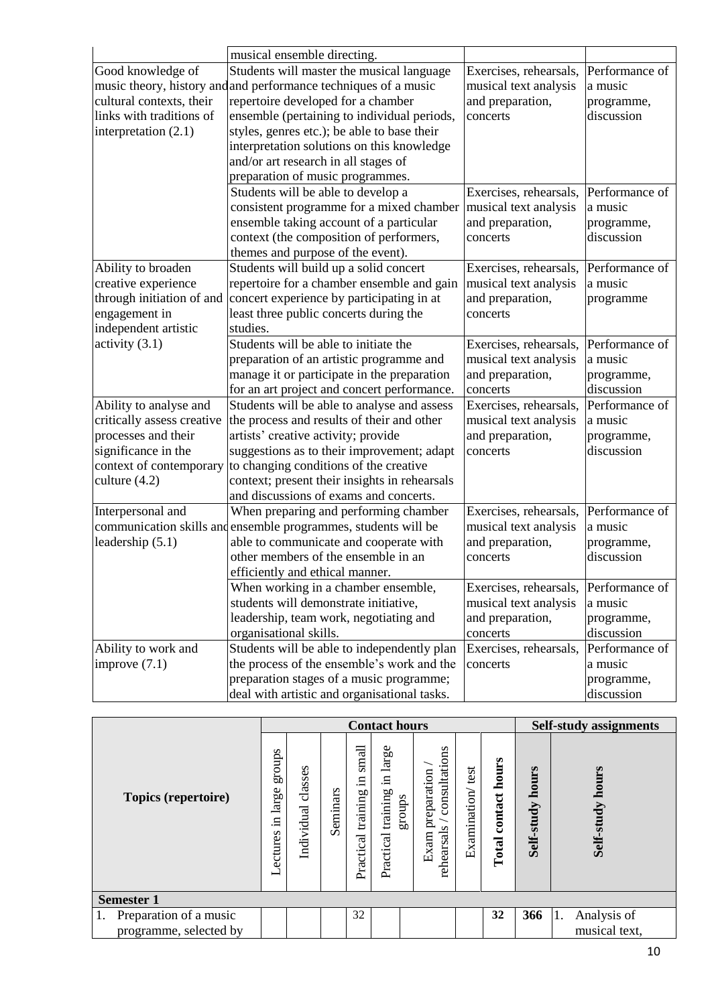|                            | musical ensemble directing.                                     |                                       |                |
|----------------------------|-----------------------------------------------------------------|---------------------------------------|----------------|
| Good knowledge of          | Students will master the musical language                       | Exercises, rehearsals,                | Performance of |
|                            | music theory, history and and performance techniques of a music | musical text analysis                 | a music        |
| cultural contexts, their   | repertoire developed for a chamber                              | and preparation,                      | programme,     |
| links with traditions of   | ensemble (pertaining to individual periods,                     | concerts                              | discussion     |
| interpretation $(2.1)$     | styles, genres etc.); be able to base their                     |                                       |                |
|                            | interpretation solutions on this knowledge                      |                                       |                |
|                            | and/or art research in all stages of                            |                                       |                |
|                            | preparation of music programmes.                                |                                       |                |
|                            | Students will be able to develop a                              | Exercises, rehearsals,                | Performance of |
|                            | consistent programme for a mixed chamber                        | musical text analysis                 | a music        |
|                            | ensemble taking account of a particular                         | and preparation,                      | programme,     |
|                            | context (the composition of performers,                         | concerts                              | discussion     |
|                            | themes and purpose of the event).                               |                                       |                |
| Ability to broaden         | Students will build up a solid concert                          | Exercises, rehearsals,                | Performance of |
| creative experience        | repertoire for a chamber ensemble and gain                      | musical text analysis                 | a music        |
| through initiation of and  | concert experience by participating in at                       | and preparation,                      | programme      |
| engagement in              | least three public concerts during the                          | concerts                              |                |
| independent artistic       | studies.                                                        |                                       |                |
| activity $(3.1)$           | Students will be able to initiate the                           | Exercises, rehearsals,                | Performance of |
|                            | preparation of an artistic programme and                        | musical text analysis                 | a music        |
|                            | manage it or participate in the preparation                     | and preparation,                      | programme,     |
|                            | for an art project and concert performance.                     | concerts                              | discussion     |
| Ability to analyse and     | Students will be able to analyse and assess                     | Exercises, rehearsals,                | Performance of |
| critically assess creative | the process and results of their and other                      | musical text analysis                 | a music        |
| processes and their        | artists' creative activity; provide                             | and preparation,                      | programme,     |
| significance in the        | suggestions as to their improvement; adapt                      | concerts                              | discussion     |
| context of contemporary    | to changing conditions of the creative                          |                                       |                |
| culture $(4.2)$            | context; present their insights in rehearsals                   |                                       |                |
|                            | and discussions of exams and concerts.                          |                                       |                |
| Interpersonal and          | When preparing and performing chamber                           | Exercises, rehearsals,                | Performance of |
|                            | communication skills and ensemble programmes, students will be  | musical text analysis                 | a music        |
| leadership $(5.1)$         | able to communicate and cooperate with                          | and preparation,                      | programme,     |
|                            | other members of the ensemble in an                             | concerts                              | discussion     |
|                            | efficiently and ethical manner.                                 |                                       |                |
|                            | When working in a chamber ensemble,                             | Exercises, rehearsals, Performance of |                |
|                            | students will demonstrate initiative,                           | musical text analysis                 | a music        |
|                            | leadership, team work, negotiating and                          | and preparation,                      | programme,     |
|                            | organisational skills.                                          | concerts                              | discussion     |
| Ability to work and        | Students will be able to independently plan                     | Exercises, rehearsals,                | Performance of |
| improve $(7.1)$            | the process of the ensemble's work and the                      | concerts                              | a music        |
|                            | preparation stages of a music programme;                        |                                       | programme,     |
|                            | deal with artistic and organisational tasks.                    |                                       | discussion     |

|                        |  | <b>Contact hours</b>  |          |                                      |                                              |                                                    |                  |                        |                     | <b>Self-study assignments</b> |  |  |
|------------------------|--|-----------------------|----------|--------------------------------------|----------------------------------------------|----------------------------------------------------|------------------|------------------------|---------------------|-------------------------------|--|--|
| Topics (repertoire)    |  | classes<br>Individual | Seminars | small<br>Ξ.<br>training<br>Practical | in large<br>training<br>sano.fa<br>Practical | consultations<br>preparation<br>rehearsals<br>Exam | Examination/test | contact hours<br>Total | hours<br>Self-study | hours<br>Self-study           |  |  |
| <b>Semester 1</b>      |  |                       |          |                                      |                                              |                                                    |                  |                        |                     |                               |  |  |
| Preparation of a music |  |                       |          | 32                                   |                                              |                                                    |                  | 32                     | 366                 | Analysis of<br>1.             |  |  |
| programme, selected by |  |                       |          |                                      |                                              |                                                    |                  |                        |                     | musical text,                 |  |  |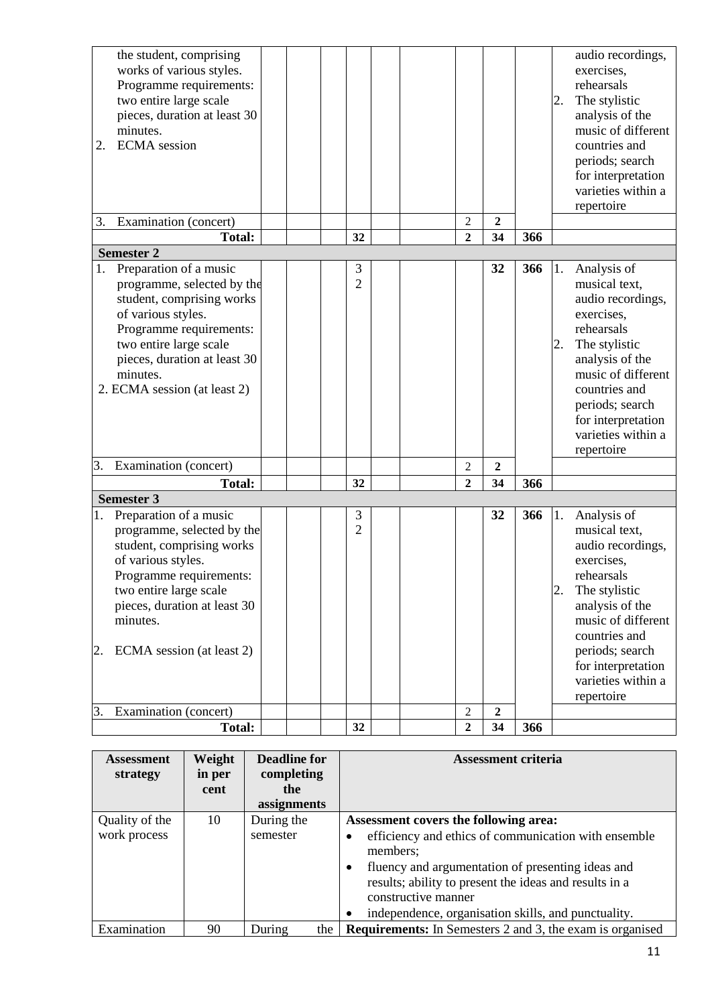| 2.<br>3. | the student, comprising<br>works of various styles.<br>Programme requirements:<br>two entire large scale<br>pieces, duration at least 30<br>minutes.<br><b>ECMA</b> session<br>Examination (concert)<br><b>Total:</b>                    |  | 32                  |  | $\overline{2}$<br>$\overline{2}$ | $\overline{2}$<br>34 | 366 | 2.       | audio recordings,<br>exercises,<br>rehearsals<br>The stylistic<br>analysis of the<br>music of different<br>countries and<br>periods; search<br>for interpretation<br>varieties within a<br>repertoire                                 |
|----------|------------------------------------------------------------------------------------------------------------------------------------------------------------------------------------------------------------------------------------------|--|---------------------|--|----------------------------------|----------------------|-----|----------|---------------------------------------------------------------------------------------------------------------------------------------------------------------------------------------------------------------------------------------|
|          | <b>Semester 2</b>                                                                                                                                                                                                                        |  |                     |  |                                  |                      |     |          |                                                                                                                                                                                                                                       |
| 1.       | Preparation of a music<br>programme, selected by the<br>student, comprising works<br>of various styles.<br>Programme requirements:<br>two entire large scale<br>pieces, duration at least 30<br>minutes.<br>2. ECMA session (at least 2) |  | 3<br>$\overline{2}$ |  |                                  | 32                   | 366 | 1.<br>2. | Analysis of<br>musical text,<br>audio recordings,<br>exercises,<br>rehearsals<br>The stylistic<br>analysis of the<br>music of different<br>countries and<br>periods; search<br>for interpretation<br>varieties within a<br>repertoire |
| 3.       | Examination (concert)                                                                                                                                                                                                                    |  |                     |  | $\overline{2}$                   | $\overline{2}$       |     |          |                                                                                                                                                                                                                                       |
|          | <b>Total:</b>                                                                                                                                                                                                                            |  | 32                  |  | $\overline{2}$                   | 34                   | 366 |          |                                                                                                                                                                                                                                       |
|          | <b>Semester 3</b>                                                                                                                                                                                                                        |  |                     |  |                                  |                      |     |          |                                                                                                                                                                                                                                       |
| 1.<br>2. | Preparation of a music<br>programme, selected by the<br>student, comprising works<br>of various styles.<br>Programme requirements:<br>two entire large scale<br>pieces, duration at least 30<br>minutes.<br>ECMA session (at least 2)    |  | 3<br>$\overline{2}$ |  |                                  | 32                   | 366 | 1.<br>2. | Analysis of<br>musical text,<br>audio recordings,<br>exercises,<br>rehearsals<br>The stylistic<br>analysis of the<br>music of different<br>countries and<br>periods; search<br>for interpretation<br>varieties within a<br>repertoire |
| 3.       | Examination (concert)                                                                                                                                                                                                                    |  |                     |  | $\overline{c}$                   | $\overline{2}$       |     |          |                                                                                                                                                                                                                                       |
|          | Total:                                                                                                                                                                                                                                   |  | 32                  |  | $\boldsymbol{2}$                 | 34                   | 366 |          |                                                                                                                                                                                                                                       |

| <b>Assessment</b><br>strategy | Weight<br>in per | <b>Deadline for</b><br>completing | <b>Assessment criteria</b>                                                                                                         |
|-------------------------------|------------------|-----------------------------------|------------------------------------------------------------------------------------------------------------------------------------|
|                               | cent             | the                               |                                                                                                                                    |
|                               |                  | assignments                       |                                                                                                                                    |
| Quality of the                | 10               | During the                        | Assessment covers the following area:                                                                                              |
| work process                  |                  | semester                          | efficiency and ethics of communication with ensemble<br>members;                                                                   |
|                               |                  |                                   | fluency and argumentation of presenting ideas and<br>results; ability to present the ideas and results in a<br>constructive manner |
|                               |                  |                                   | independence, organisation skills, and punctuality.                                                                                |
| Examination                   | 90               | During<br>the                     | <b>Requirements:</b> In Semesters 2 and 3, the exam is organised                                                                   |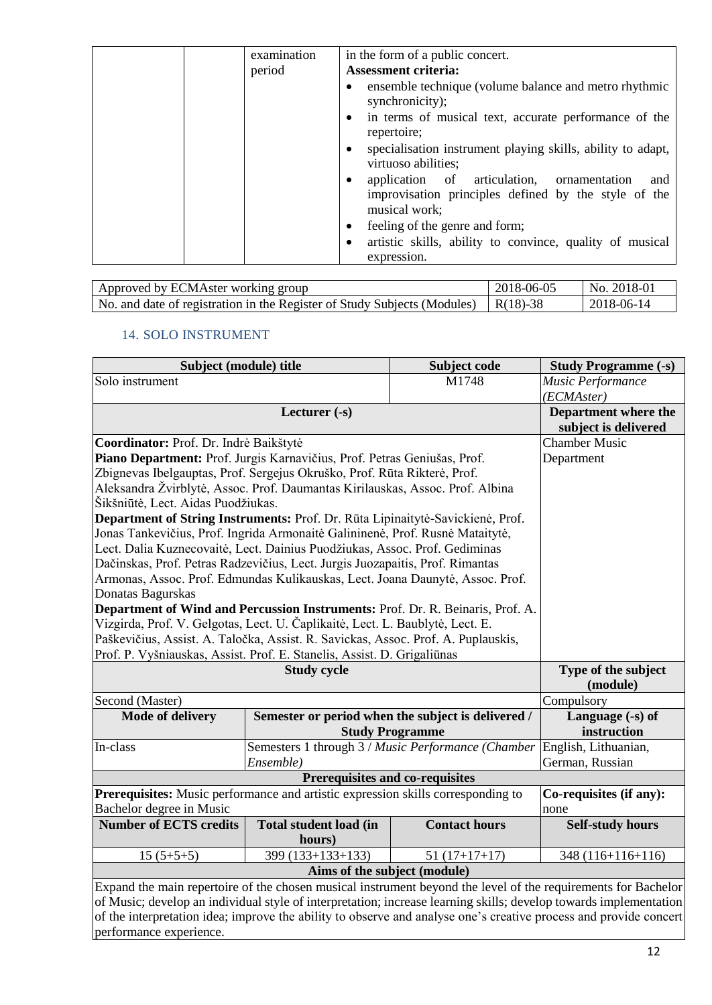| examination<br>period | in the form of a public concert.<br><b>Assessment criteria:</b>                                                            |
|-----------------------|----------------------------------------------------------------------------------------------------------------------------|
|                       | ensemble technique (volume balance and metro rhythmic<br>synchronicity);                                                   |
|                       | in terms of musical text, accurate performance of the<br>repertoire;                                                       |
|                       | specialisation instrument playing skills, ability to adapt,<br>virtuoso abilities;                                         |
|                       | application of articulation, ornamentation<br>and<br>improvisation principles defined by the style of the<br>musical work; |
|                       | feeling of the genre and form;                                                                                             |
|                       | artistic skills, ability to convince, quality of musical<br>expression.                                                    |

| Approved by ECMAster working group                                       | 2018-06-05 | No. 2018-01 |
|--------------------------------------------------------------------------|------------|-------------|
| No. and date of registration in the Register of Study Subjects (Modules) | R(18)-38   | 2018-06-14  |

## 14. SOLO INSTRUMENT

| Subject (module) title                                                                                            |                                 | Subject code                                       | <b>Study Programme (-s)</b> |  |  |
|-------------------------------------------------------------------------------------------------------------------|---------------------------------|----------------------------------------------------|-----------------------------|--|--|
| Solo instrument                                                                                                   |                                 | M1748                                              | Music Performance           |  |  |
|                                                                                                                   |                                 |                                                    | (ECMAster)                  |  |  |
|                                                                                                                   | Lecturer (-s)                   |                                                    | <b>Department where the</b> |  |  |
|                                                                                                                   | subject is delivered            |                                                    |                             |  |  |
| Coordinator: Prof. Dr. Indrė Baikštytė                                                                            | <b>Chamber Music</b>            |                                                    |                             |  |  |
| Piano Department: Prof. Jurgis Karnavičius, Prof. Petras Geniušas, Prof.                                          |                                 |                                                    | Department                  |  |  |
| Zbignevas Ibelgauptas, Prof. Sergejus Okruško, Prof. Rūta Rikterė, Prof.                                          |                                 |                                                    |                             |  |  |
| Aleksandra Žvirblytė, Assoc. Prof. Daumantas Kirilauskas, Assoc. Prof. Albina                                     |                                 |                                                    |                             |  |  |
| Šikšniūtė, Lect. Aidas Puodžiukas.                                                                                |                                 |                                                    |                             |  |  |
| Department of String Instruments: Prof. Dr. Rūta Lipinaitytė-Savickienė, Prof.                                    |                                 |                                                    |                             |  |  |
| Jonas Tankevičius, Prof. Ingrida Armonaitė Galininenė, Prof. Rusnė Mataitytė,                                     |                                 |                                                    |                             |  |  |
| Lect. Dalia Kuznecovaitė, Lect. Dainius Puodžiukas, Assoc. Prof. Gediminas                                        |                                 |                                                    |                             |  |  |
| Dačinskas, Prof. Petras Radzevičius, Lect. Jurgis Juozapaitis, Prof. Rimantas                                     |                                 |                                                    |                             |  |  |
| Armonas, Assoc. Prof. Edmundas Kulikauskas, Lect. Joana Daunytė, Assoc. Prof.                                     |                                 |                                                    |                             |  |  |
| Donatas Bagurskas                                                                                                 |                                 |                                                    |                             |  |  |
| Department of Wind and Percussion Instruments: Prof. Dr. R. Beinaris, Prof. A.                                    |                                 |                                                    |                             |  |  |
| Vizgirda, Prof. V. Gelgotas, Lect. U. Čaplikaitė, Lect. L. Baublytė, Lect. E.                                     |                                 |                                                    |                             |  |  |
| Paškevičius, Assist. A. Taločka, Assist. R. Savickas, Assoc. Prof. A. Puplauskis,                                 |                                 |                                                    |                             |  |  |
| Prof. P. Vyšniauskas, Assist. Prof. E. Stanelis, Assist. D. Grigaliūnas                                           | <b>Study cycle</b>              |                                                    |                             |  |  |
|                                                                                                                   | Type of the subject             |                                                    |                             |  |  |
|                                                                                                                   |                                 |                                                    | (module)                    |  |  |
| Second (Master)                                                                                                   |                                 |                                                    | Compulsory                  |  |  |
| <b>Mode of delivery</b>                                                                                           |                                 | Semester or period when the subject is delivered / | Language $(-s)$ of          |  |  |
|                                                                                                                   |                                 | <b>Study Programme</b>                             | instruction                 |  |  |
| In-class                                                                                                          |                                 | Semesters 1 through 3 / Music Performance (Chamber | English, Lithuanian,        |  |  |
|                                                                                                                   | Ensemble)                       |                                                    | German, Russian             |  |  |
|                                                                                                                   | Prerequisites and co-requisites |                                                    |                             |  |  |
| Prerequisites: Music performance and artistic expression skills corresponding to                                  |                                 |                                                    | Co-requisites (if any):     |  |  |
| Bachelor degree in Music                                                                                          | none                            |                                                    |                             |  |  |
| <b>Number of ECTS credits</b>                                                                                     | <b>Self-study hours</b>         |                                                    |                             |  |  |
|                                                                                                                   | hours)<br>399 (133+133+133)     | $51(17+17+17)$                                     |                             |  |  |
| $15(5+5+5)$                                                                                                       | 348 (116+116+116)               |                                                    |                             |  |  |
| Aims of the subject (module)                                                                                      |                                 |                                                    |                             |  |  |
| Expand the main repertoire of the chosen musical instrument beyond the level of the requirements for Bachelor     |                                 |                                                    |                             |  |  |
| of Music; develop an individual style of interpretation; increase learning skills; develop towards implementation |                                 |                                                    |                             |  |  |
| of the interpretation idea; improve the ability to observe and analyse one's creative process and provide concert |                                 |                                                    |                             |  |  |

performance experience.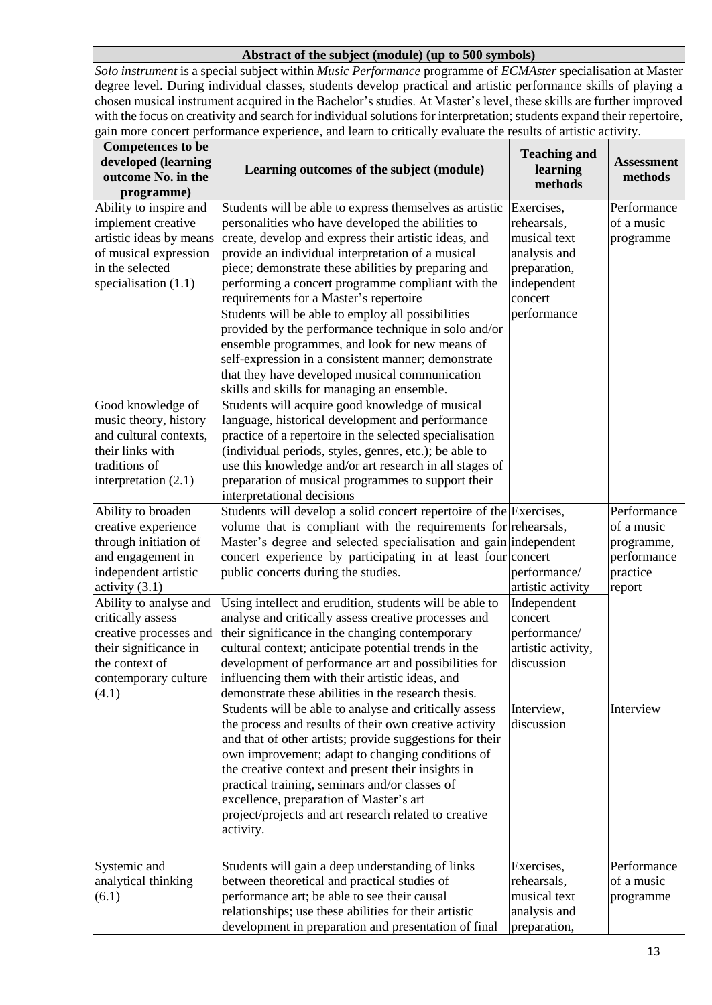#### **Abstract of the subject (module) (up to 500 symbols)**

*Solo instrument* is a special subject within *Music Performance* programme of *ECMAster* specialisation at Master degree level. During individual classes, students develop practical and artistic performance skills of playing a chosen musical instrument acquired in the Bachelor's studies. At Master's level, these skills are further improved with the focus on creativity and search for individual solutions for interpretation; students expand their repertoire, gain more concert performance experience, and learn to critically evaluate the results of artistic activity.

| <b>Competences</b> to be<br>developed (learning<br>outcome No. in the<br>programme)                                                                                                                                                                                                      | Learning outcomes of the subject (module)                                                                                                                                                                                                                                                                                                                                                                                                                                                                                                                                                                                                                                                                                                                                                                                                                                                                                                                                                                                                            | <b>Teaching and</b><br>learning<br>methods                                                                         | <b>Assessment</b><br>methods                                                 |
|------------------------------------------------------------------------------------------------------------------------------------------------------------------------------------------------------------------------------------------------------------------------------------------|------------------------------------------------------------------------------------------------------------------------------------------------------------------------------------------------------------------------------------------------------------------------------------------------------------------------------------------------------------------------------------------------------------------------------------------------------------------------------------------------------------------------------------------------------------------------------------------------------------------------------------------------------------------------------------------------------------------------------------------------------------------------------------------------------------------------------------------------------------------------------------------------------------------------------------------------------------------------------------------------------------------------------------------------------|--------------------------------------------------------------------------------------------------------------------|------------------------------------------------------------------------------|
| Ability to inspire and<br>implement creative<br>artistic ideas by means<br>of musical expression<br>in the selected<br>specialisation $(1.1)$<br>Good knowledge of<br>music theory, history<br>and cultural contexts,<br>their links with<br>traditions of<br>interpretation $(2.1)$     | Students will be able to express themselves as artistic<br>personalities who have developed the abilities to<br>create, develop and express their artistic ideas, and<br>provide an individual interpretation of a musical<br>piece; demonstrate these abilities by preparing and<br>performing a concert programme compliant with the<br>requirements for a Master's repertoire<br>Students will be able to employ all possibilities<br>provided by the performance technique in solo and/or<br>ensemble programmes, and look for new means of<br>self-expression in a consistent manner; demonstrate<br>that they have developed musical communication<br>skills and skills for managing an ensemble.<br>Students will acquire good knowledge of musical<br>language, historical development and performance<br>practice of a repertoire in the selected specialisation<br>(individual periods, styles, genres, etc.); be able to<br>use this knowledge and/or art research in all stages of<br>preparation of musical programmes to support their | Exercises,<br>rehearsals,<br>musical text<br>analysis and<br>preparation,<br>independent<br>concert<br>performance | Performance<br>of a music<br>programme                                       |
| Ability to broaden<br>creative experience<br>through initiation of<br>and engagement in<br>independent artistic<br>activity $(3.1)$<br>Ability to analyse and<br>critically assess<br>creative processes and<br>their significance in<br>the context of<br>contemporary culture<br>(4.1) | interpretational decisions<br>Students will develop a solid concert repertoire of the Exercises,<br>volume that is compliant with the requirements for rehearsals,<br>Master's degree and selected specialisation and gain independent<br>concert experience by participating in at least four concert<br>public concerts during the studies.<br>Using intellect and erudition, students will be able to<br>analyse and critically assess creative processes and<br>their significance in the changing contemporary<br>cultural context; anticipate potential trends in the<br>development of performance art and possibilities for<br>influencing them with their artistic ideas, and<br>demonstrate these abilities in the research thesis.                                                                                                                                                                                                                                                                                                        | performance/<br>artistic activity<br>Independent<br>concert<br>performance/<br>artistic activity,<br>discussion    | Performance<br>of a music<br>programme,<br>performance<br>practice<br>report |
|                                                                                                                                                                                                                                                                                          | Students will be able to analyse and critically assess<br>the process and results of their own creative activity<br>and that of other artists; provide suggestions for their<br>own improvement; adapt to changing conditions of<br>the creative context and present their insights in<br>practical training, seminars and/or classes of<br>excellence, preparation of Master's art<br>project/projects and art research related to creative<br>activity.                                                                                                                                                                                                                                                                                                                                                                                                                                                                                                                                                                                            | Interview,<br>discussion                                                                                           | Interview                                                                    |
| Systemic and<br>analytical thinking<br>(6.1)                                                                                                                                                                                                                                             | Students will gain a deep understanding of links<br>between theoretical and practical studies of<br>performance art; be able to see their causal<br>relationships; use these abilities for their artistic<br>development in preparation and presentation of final                                                                                                                                                                                                                                                                                                                                                                                                                                                                                                                                                                                                                                                                                                                                                                                    | Exercises,<br>rehearsals,<br>musical text<br>analysis and<br>preparation,                                          | Performance<br>of a music<br>programme                                       |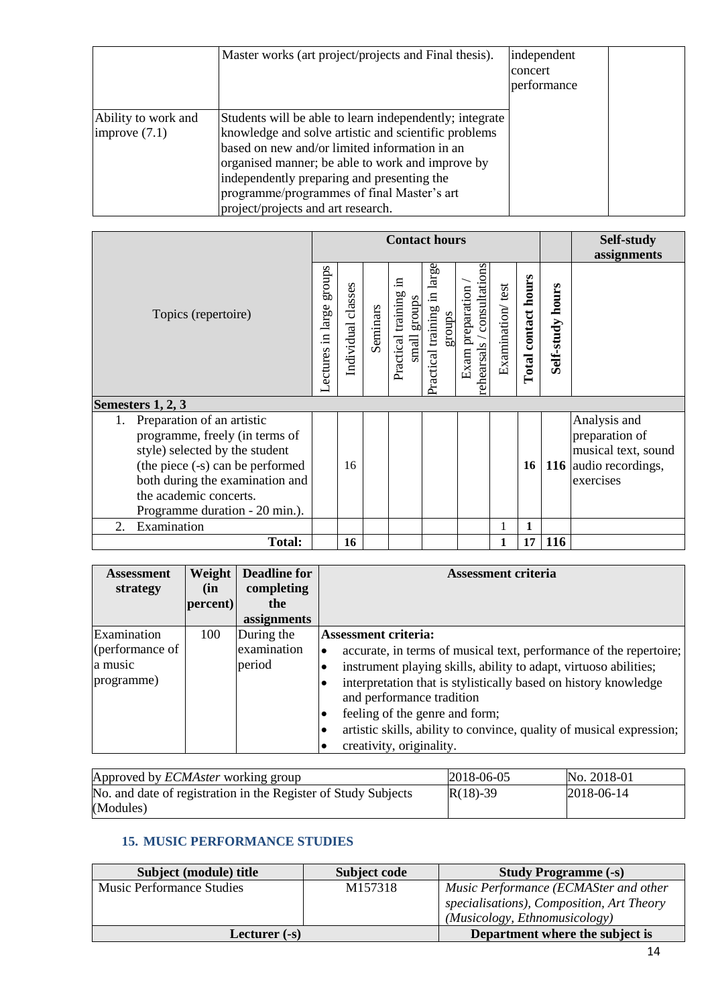|                                        | Master works (art project/projects and Final thesis).                                                                                                                                                                                                                                                                                                  | independent<br>concert<br>performance |  |
|----------------------------------------|--------------------------------------------------------------------------------------------------------------------------------------------------------------------------------------------------------------------------------------------------------------------------------------------------------------------------------------------------------|---------------------------------------|--|
| Ability to work and<br>improve $(7.1)$ | Students will be able to learn independently; integrate<br>knowledge and solve artistic and scientific problems<br>based on new and/or limited information in an<br>organised manner; be able to work and improve by<br>independently preparing and presenting the<br>programme/programmes of final Master's art<br>project/projects and art research. |                                       |  |

|                                                                                                                                                                                                                                         |  | <b>Contact hours</b> |          |                                                      |                                          |                                                |                  |                            |                  | Self-study<br>assignments                                                                   |
|-----------------------------------------------------------------------------------------------------------------------------------------------------------------------------------------------------------------------------------------|--|----------------------|----------|------------------------------------------------------|------------------------------------------|------------------------------------------------|------------------|----------------------------|------------------|---------------------------------------------------------------------------------------------|
| Topics (repertoire)                                                                                                                                                                                                                     |  | Individual classes   | Seminars | .日<br>Practical training<br>groups<br>$\mbox{small}$ | large<br>Practical training in<br>groups | rehearsals / consultations<br>Exam preparation | Examination/test | <b>Total contact hours</b> | Self-study hours |                                                                                             |
| Semesters 1, 2, 3                                                                                                                                                                                                                       |  |                      |          |                                                      |                                          |                                                |                  |                            |                  |                                                                                             |
| Preparation of an artistic<br>1.<br>programme, freely (in terms of<br>style) selected by the student<br>(the piece (-s) can be performed<br>both during the examination and<br>the academic concerts.<br>Programme duration - 20 min.). |  | 16                   |          |                                                      |                                          |                                                |                  | 16                         |                  | Analysis and<br>preparation of<br>musical text, sound<br>116 audio recordings,<br>exercises |
| Examination<br>$\mathfrak{2}$ .                                                                                                                                                                                                         |  |                      |          |                                                      |                                          |                                                |                  | 1                          |                  |                                                                                             |
| <b>Total:</b>                                                                                                                                                                                                                           |  | 16                   |          |                                                      |                                          |                                                | 1                | 17                         | 116              |                                                                                             |

| <b>Assessment</b><br>strategy                           | Weight<br>(in<br>percent) | <b>Deadline for</b><br>completing<br>the<br>assignments | <b>Assessment criteria</b>                                                                                                                                                                                                                                                                                                                                                                                                    |
|---------------------------------------------------------|---------------------------|---------------------------------------------------------|-------------------------------------------------------------------------------------------------------------------------------------------------------------------------------------------------------------------------------------------------------------------------------------------------------------------------------------------------------------------------------------------------------------------------------|
| Examination<br>(performance of<br>a music<br>programme) | 100                       | During the<br>examination<br>period                     | <b>Assessment criteria:</b><br>accurate, in terms of musical text, performance of the repertoire;<br>$\bullet$<br>instrument playing skills, ability to adapt, virtuoso abilities;<br>interpretation that is stylistically based on history knowledge<br>and performance tradition<br>feeling of the genre and form;<br>٠<br>artistic skills, ability to convince, quality of musical expression;<br>creativity, originality. |

| Approved by <i>ECMAster</i> working group                      | $ 2018-06-05 $ | No. 2018-01    |
|----------------------------------------------------------------|----------------|----------------|
| No. and date of registration in the Register of Study Subjects | $R(18) - 39$   | $ 2018-06-14 $ |
| (Modules)                                                      |                |                |

## **15. MUSIC PERFORMANCE STUDIES**

| Subject (module) title           | Subject code | <b>Study Programme (-s)</b>               |
|----------------------------------|--------------|-------------------------------------------|
| <b>Music Performance Studies</b> | M157318      | Music Performance (ECMASter and other     |
|                                  |              | specialisations), Composition, Art Theory |
|                                  |              | (Musicology, Ethnomusicology)             |
| Lecturer (-s)                    |              | Department where the subject is           |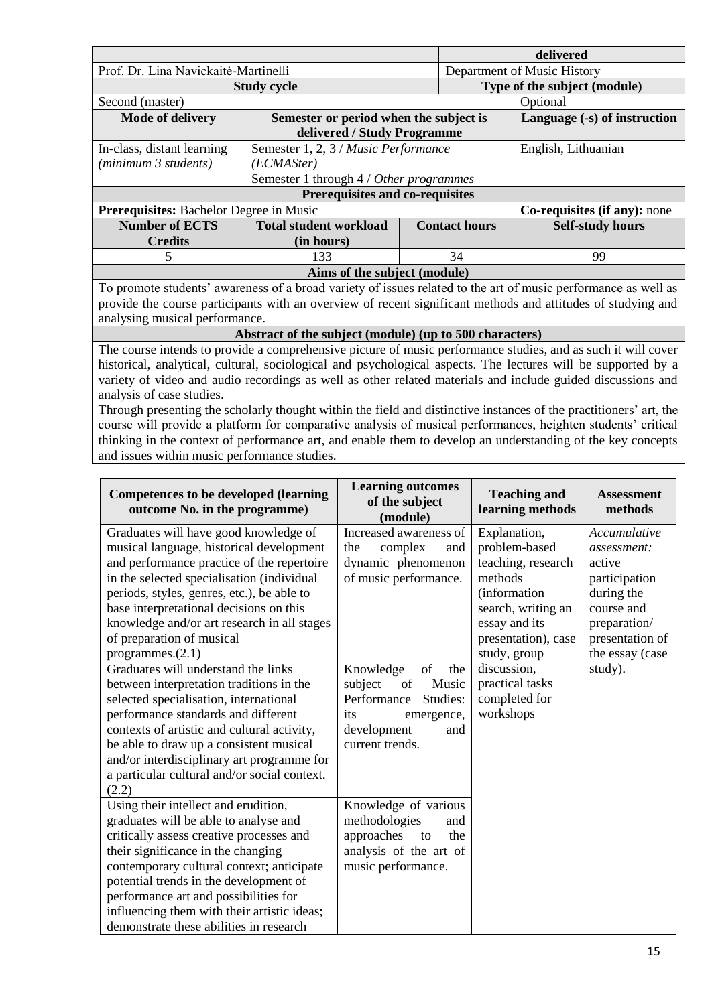|                                                                                                               |                                                         | delivered                    |                             |                                                                                                                |  |
|---------------------------------------------------------------------------------------------------------------|---------------------------------------------------------|------------------------------|-----------------------------|----------------------------------------------------------------------------------------------------------------|--|
| Prof. Dr. Lina Navickaitė-Martinelli                                                                          |                                                         |                              | Department of Music History |                                                                                                                |  |
|                                                                                                               | <b>Study cycle</b>                                      | Type of the subject (module) |                             |                                                                                                                |  |
| Second (master)                                                                                               |                                                         |                              | Optional                    |                                                                                                                |  |
| <b>Mode of delivery</b>                                                                                       | Semester or period when the subject is                  |                              |                             | Language (-s) of instruction                                                                                   |  |
|                                                                                                               | delivered / Study Programme                             |                              |                             |                                                                                                                |  |
| In-class, distant learning                                                                                    | Semester 1, 2, 3 / Music Performance                    |                              |                             | English, Lithuanian                                                                                            |  |
| (minimum 3 students)                                                                                          | (ECMASter)                                              |                              |                             |                                                                                                                |  |
|                                                                                                               | Semester 1 through 4 / Other programmes                 |                              |                             |                                                                                                                |  |
|                                                                                                               | Prerequisites and co-requisites                         |                              |                             |                                                                                                                |  |
| <b>Prerequisites:</b> Bachelor Degree in Music                                                                |                                                         |                              |                             | Co-requisites (if any): none                                                                                   |  |
| <b>Number of ECTS</b>                                                                                         | <b>Total student workload</b>                           |                              | <b>Contact hours</b>        | <b>Self-study hours</b>                                                                                        |  |
| <b>Credits</b>                                                                                                | (in hours)                                              |                              |                             |                                                                                                                |  |
| 5                                                                                                             | 133                                                     | 34                           | 99                          |                                                                                                                |  |
|                                                                                                               | Aims of the subject (module)                            |                              |                             |                                                                                                                |  |
|                                                                                                               |                                                         |                              |                             | To promote students' awareness of a broad variety of issues related to the art of music performance as well as |  |
|                                                                                                               |                                                         |                              |                             | provide the course participants with an overview of recent significant methods and attitudes of studying and   |  |
| analysing musical performance.                                                                                |                                                         |                              |                             |                                                                                                                |  |
|                                                                                                               | Abstract of the subject (module) (up to 500 characters) |                              |                             |                                                                                                                |  |
| The course intends to provide a comprehensive picture of music performance studies, and as such it will cover |                                                         |                              |                             |                                                                                                                |  |
| historical, analytical, cultural, sociological and psychological aspects. The lectures will be supported by a |                                                         |                              |                             |                                                                                                                |  |
|                                                                                                               |                                                         |                              |                             | variety of video and audio recordings as well as other related materials and include guided discussions and    |  |
| analysis of case studies.                                                                                     |                                                         |                              |                             |                                                                                                                |  |

Through presenting the scholarly thought within the field and distinctive instances of the practitioners' art, the course will provide a platform for comparative analysis of musical performances, heighten students' critical thinking in the context of performance art, and enable them to develop an understanding of the key concepts and issues within music performance studies.

| <b>Competences to be developed (learning</b><br>outcome No. in the programme)                                                                                                                                                                                                                                                                                                                                                                                                                                                                                                                                                                                                                                                                | <b>Learning outcomes</b><br>of the subject<br>(module)                                                                                                                                                                                      | <b>Teaching and</b><br>learning methods                                                                                                                                                                                      | <b>Assessment</b><br>methods                                                                                                                        |
|----------------------------------------------------------------------------------------------------------------------------------------------------------------------------------------------------------------------------------------------------------------------------------------------------------------------------------------------------------------------------------------------------------------------------------------------------------------------------------------------------------------------------------------------------------------------------------------------------------------------------------------------------------------------------------------------------------------------------------------------|---------------------------------------------------------------------------------------------------------------------------------------------------------------------------------------------------------------------------------------------|------------------------------------------------------------------------------------------------------------------------------------------------------------------------------------------------------------------------------|-----------------------------------------------------------------------------------------------------------------------------------------------------|
| Graduates will have good knowledge of<br>musical language, historical development<br>and performance practice of the repertoire<br>in the selected specialisation (individual<br>periods, styles, genres, etc.), be able to<br>base interpretational decisions on this<br>knowledge and/or art research in all stages<br>of preparation of musical<br>programmes. (2.1)<br>Graduates will understand the links<br>between interpretation traditions in the<br>selected specialisation, international<br>performance standards and different<br>contexts of artistic and cultural activity,<br>be able to draw up a consistent musical<br>and/or interdisciplinary art programme for<br>a particular cultural and/or social context.<br>(2.2) | Increased awareness of<br>complex<br>the<br>and<br>dynamic phenomenon<br>of music performance.<br>Knowledge<br>of<br>the<br>subject<br>of<br>Music<br>Performance<br>Studies:<br>its<br>emergence,<br>development<br>and<br>current trends. | Explanation,<br>problem-based<br>teaching, research<br>methods<br>(information<br>search, writing an<br>essay and its<br>presentation), case<br>study, group<br>discussion,<br>practical tasks<br>completed for<br>workshops | Accumulative<br>assessment:<br>active<br>participation<br>during the<br>course and<br>preparation/<br>presentation of<br>the essay (case<br>study). |
| Using their intellect and erudition,<br>graduates will be able to analyse and<br>critically assess creative processes and<br>their significance in the changing<br>contemporary cultural context; anticipate<br>potential trends in the development of<br>performance art and possibilities for<br>influencing them with their artistic ideas;<br>demonstrate these abilities in research                                                                                                                                                                                                                                                                                                                                                    | Knowledge of various<br>methodologies<br>and<br>approaches<br>the<br>to<br>analysis of the art of<br>music performance.                                                                                                                     |                                                                                                                                                                                                                              |                                                                                                                                                     |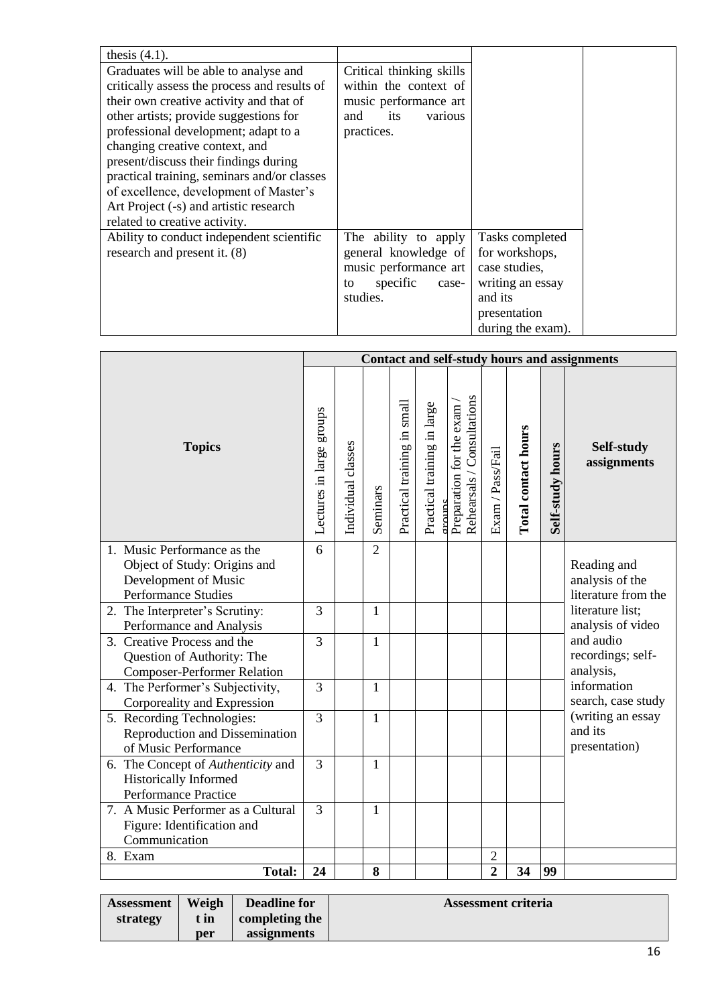| thesis $(4.1)$ .                             |                          |                   |
|----------------------------------------------|--------------------------|-------------------|
| Graduates will be able to analyse and        | Critical thinking skills |                   |
| critically assess the process and results of | within the context of    |                   |
| their own creative activity and that of      | music performance art    |                   |
| other artists; provide suggestions for       | its<br>and<br>various    |                   |
| professional development; adapt to a         | practices.               |                   |
| changing creative context, and               |                          |                   |
| present/discuss their findings during        |                          |                   |
| practical training, seminars and/or classes  |                          |                   |
| of excellence, development of Master's       |                          |                   |
| Art Project (-s) and artistic research       |                          |                   |
| related to creative activity.                |                          |                   |
| Ability to conduct independent scientific    | The ability to apply     | Tasks completed   |
| research and present it. (8)                 | general knowledge of     | for workshops,    |
|                                              | music performance art    | case studies,     |
|                                              | specific<br>case-<br>to  | writing an essay  |
|                                              | studies.                 | and its           |
|                                              |                          | presentation      |
|                                              |                          | during the exam). |

|                                                       | <b>Contact and self-study hours and assignments</b> |                    |                |                             |                                       |                                                         |                  |                     |                  |                                         |
|-------------------------------------------------------|-----------------------------------------------------|--------------------|----------------|-----------------------------|---------------------------------------|---------------------------------------------------------|------------------|---------------------|------------------|-----------------------------------------|
| <b>Topics</b>                                         | Lectures in large groups                            | Individual classes | Seminars       | Practical training in small | Practical training in large<br>ormuns | Rehearsals / Consultations<br>Preparation for the exam. | Exam / Pass/Fail | Total contact hours | Self-study hours | Self-study<br>assignments               |
| 1. Music Performance as the                           | 6                                                   |                    | $\overline{2}$ |                             |                                       |                                                         |                  |                     |                  |                                         |
| Object of Study: Origins and                          |                                                     |                    |                |                             |                                       |                                                         |                  |                     |                  | Reading and                             |
| Development of Music                                  |                                                     |                    |                |                             |                                       |                                                         |                  |                     |                  | analysis of the                         |
| Performance Studies<br>2. The Interpreter's Scrutiny: | $\overline{3}$                                      |                    | 1              |                             |                                       |                                                         |                  |                     |                  | literature from the<br>literature list; |
| Performance and Analysis                              |                                                     |                    |                |                             |                                       |                                                         |                  |                     |                  | analysis of video                       |
| 3. Creative Process and the                           | $\overline{3}$                                      |                    | 1              |                             |                                       |                                                         |                  |                     |                  | and audio                               |
| Question of Authority: The                            |                                                     |                    |                |                             |                                       |                                                         |                  |                     |                  | recordings; self-                       |
| <b>Composer-Performer Relation</b>                    |                                                     |                    |                |                             |                                       |                                                         |                  |                     |                  | analysis,                               |
| 4. The Performer's Subjectivity,                      | 3                                                   |                    | 1              |                             |                                       |                                                         |                  |                     |                  | information                             |
| Corporeality and Expression                           |                                                     |                    |                |                             |                                       |                                                         |                  |                     |                  | search, case study                      |
| 5. Recording Technologies:                            | $\overline{3}$                                      |                    | $\mathbf{1}$   |                             |                                       |                                                         |                  |                     |                  | (writing an essay                       |
| Reproduction and Dissemination                        |                                                     |                    |                |                             |                                       |                                                         |                  |                     |                  | and its                                 |
| of Music Performance                                  |                                                     |                    |                |                             |                                       |                                                         |                  |                     |                  | presentation)                           |
| 6. The Concept of Authenticity and                    | $\overline{3}$                                      |                    | 1              |                             |                                       |                                                         |                  |                     |                  |                                         |
| Historically Informed<br>Performance Practice         |                                                     |                    |                |                             |                                       |                                                         |                  |                     |                  |                                         |
| 7. A Music Performer as a Cultural                    | $\overline{3}$                                      |                    | $\mathbf{1}$   |                             |                                       |                                                         |                  |                     |                  |                                         |
| Figure: Identification and                            |                                                     |                    |                |                             |                                       |                                                         |                  |                     |                  |                                         |
| Communication                                         |                                                     |                    |                |                             |                                       |                                                         |                  |                     |                  |                                         |
| 8. Exam                                               |                                                     |                    |                |                             |                                       |                                                         | $\overline{2}$   |                     |                  |                                         |
| <b>Total:</b>                                         | 24                                                  |                    | 8              |                             |                                       |                                                         | $\overline{2}$   | 34                  | 99               |                                         |

| <b>Assessment</b> | Weigh | <b>Deadline for</b> | Assessment criteria |
|-------------------|-------|---------------------|---------------------|
| strategy          | t in  | completing the      |                     |
|                   | per   | assignments         |                     |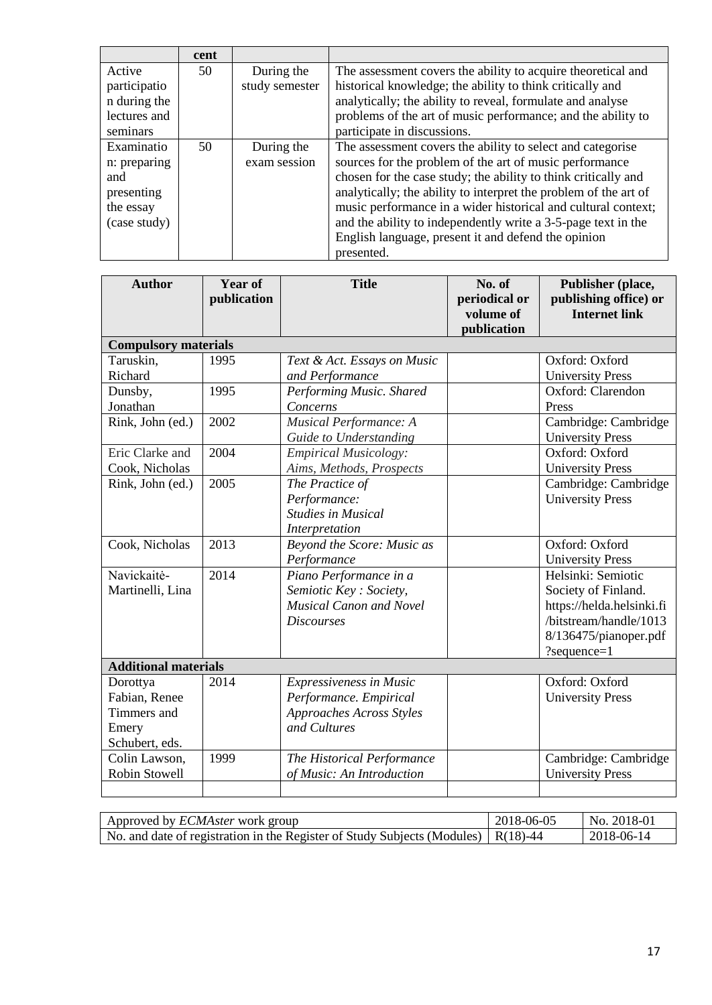|              | cent |                |                                                                  |
|--------------|------|----------------|------------------------------------------------------------------|
| Active       | 50   | During the     | The assessment covers the ability to acquire theoretical and     |
| participatio |      | study semester | historical knowledge; the ability to think critically and        |
| n during the |      |                | analytically; the ability to reveal, formulate and analyse       |
| lectures and |      |                | problems of the art of music performance; and the ability to     |
| seminars     |      |                | participate in discussions.                                      |
| Examinatio   | 50   | During the     | The assessment covers the ability to select and categorise       |
| n: preparing |      | exam session   | sources for the problem of the art of music performance          |
| and          |      |                | chosen for the case study; the ability to think critically and   |
| presenting   |      |                | analytically; the ability to interpret the problem of the art of |
| the essay    |      |                | music performance in a wider historical and cultural context;    |
| (case study) |      |                | and the ability to independently write a 3-5-page text in the    |
|              |      |                | English language, present it and defend the opinion              |
|              |      |                | presented.                                                       |

| <b>Compulsory materials</b><br>Taruskin,<br>1995<br>Oxford: Oxford<br>Text & Act. Essays on Music<br>Richard<br>and Performance<br><b>University Press</b><br>Performing Music. Shared<br>Oxford: Clarendon<br>Dunsby,<br>1995<br>Jonathan<br>Concerns<br>Press<br>Cambridge: Cambridge<br>2002<br>Musical Performance: A<br>Rink, John (ed.)<br><b>University Press</b><br>Guide to Understanding<br>Oxford: Oxford<br>Eric Clarke and<br>2004<br><b>Empirical Musicology:</b><br>Cook, Nicholas<br>Aims, Methods, Prospects<br><b>University Press</b><br>2005<br>Cambridge: Cambridge<br>Rink, John (ed.)<br>The Practice of<br><b>University Press</b><br>Performance:<br><b>Studies in Musical</b><br>Interpretation<br>Cook, Nicholas<br>2013<br>Beyond the Score: Music as<br>Oxford: Oxford<br>Performance<br><b>University Press</b><br>Navickaitė-<br>2014<br>Helsinki: Semiotic<br>Piano Performance in a<br>Semiotic Key: Society,<br>Society of Finland.<br>Martinelli, Lina<br><b>Musical Canon and Novel</b><br>https://helda.helsinki.fi<br>/bitstream/handle/1013<br><b>Discourses</b><br>8/136475/pianoper.pdf<br>?sequence=1<br><b>Additional materials</b><br>Oxford: Oxford<br>2014<br>Expressiveness in Music<br>Dorottya<br>Fabian, Renee<br>Performance. Empirical<br><b>University Press</b><br>Timmers and<br>Approaches Across Styles<br>and Cultures<br>Emery | <b>Author</b>  | <b>Year of</b><br>publication | <b>Title</b> | No. of<br>periodical or<br>volume of<br>publication | Publisher (place,<br>publishing office) or<br><b>Internet link</b> |
|-------------------------------------------------------------------------------------------------------------------------------------------------------------------------------------------------------------------------------------------------------------------------------------------------------------------------------------------------------------------------------------------------------------------------------------------------------------------------------------------------------------------------------------------------------------------------------------------------------------------------------------------------------------------------------------------------------------------------------------------------------------------------------------------------------------------------------------------------------------------------------------------------------------------------------------------------------------------------------------------------------------------------------------------------------------------------------------------------------------------------------------------------------------------------------------------------------------------------------------------------------------------------------------------------------------------------------------------------------------------------------------------|----------------|-------------------------------|--------------|-----------------------------------------------------|--------------------------------------------------------------------|
|                                                                                                                                                                                                                                                                                                                                                                                                                                                                                                                                                                                                                                                                                                                                                                                                                                                                                                                                                                                                                                                                                                                                                                                                                                                                                                                                                                                           |                |                               |              |                                                     |                                                                    |
|                                                                                                                                                                                                                                                                                                                                                                                                                                                                                                                                                                                                                                                                                                                                                                                                                                                                                                                                                                                                                                                                                                                                                                                                                                                                                                                                                                                           |                |                               |              |                                                     |                                                                    |
|                                                                                                                                                                                                                                                                                                                                                                                                                                                                                                                                                                                                                                                                                                                                                                                                                                                                                                                                                                                                                                                                                                                                                                                                                                                                                                                                                                                           |                |                               |              |                                                     |                                                                    |
|                                                                                                                                                                                                                                                                                                                                                                                                                                                                                                                                                                                                                                                                                                                                                                                                                                                                                                                                                                                                                                                                                                                                                                                                                                                                                                                                                                                           |                |                               |              |                                                     |                                                                    |
|                                                                                                                                                                                                                                                                                                                                                                                                                                                                                                                                                                                                                                                                                                                                                                                                                                                                                                                                                                                                                                                                                                                                                                                                                                                                                                                                                                                           |                |                               |              |                                                     |                                                                    |
|                                                                                                                                                                                                                                                                                                                                                                                                                                                                                                                                                                                                                                                                                                                                                                                                                                                                                                                                                                                                                                                                                                                                                                                                                                                                                                                                                                                           |                |                               |              |                                                     |                                                                    |
|                                                                                                                                                                                                                                                                                                                                                                                                                                                                                                                                                                                                                                                                                                                                                                                                                                                                                                                                                                                                                                                                                                                                                                                                                                                                                                                                                                                           |                |                               |              |                                                     |                                                                    |
|                                                                                                                                                                                                                                                                                                                                                                                                                                                                                                                                                                                                                                                                                                                                                                                                                                                                                                                                                                                                                                                                                                                                                                                                                                                                                                                                                                                           |                |                               |              |                                                     |                                                                    |
|                                                                                                                                                                                                                                                                                                                                                                                                                                                                                                                                                                                                                                                                                                                                                                                                                                                                                                                                                                                                                                                                                                                                                                                                                                                                                                                                                                                           |                |                               |              |                                                     |                                                                    |
|                                                                                                                                                                                                                                                                                                                                                                                                                                                                                                                                                                                                                                                                                                                                                                                                                                                                                                                                                                                                                                                                                                                                                                                                                                                                                                                                                                                           |                |                               |              |                                                     |                                                                    |
|                                                                                                                                                                                                                                                                                                                                                                                                                                                                                                                                                                                                                                                                                                                                                                                                                                                                                                                                                                                                                                                                                                                                                                                                                                                                                                                                                                                           |                |                               |              |                                                     |                                                                    |
|                                                                                                                                                                                                                                                                                                                                                                                                                                                                                                                                                                                                                                                                                                                                                                                                                                                                                                                                                                                                                                                                                                                                                                                                                                                                                                                                                                                           |                |                               |              |                                                     |                                                                    |
|                                                                                                                                                                                                                                                                                                                                                                                                                                                                                                                                                                                                                                                                                                                                                                                                                                                                                                                                                                                                                                                                                                                                                                                                                                                                                                                                                                                           | Schubert, eds. |                               |              |                                                     |                                                                    |
| Colin Lawson,<br>1999<br>The Historical Performance<br>Cambridge: Cambridge<br>Robin Stowell<br><b>University Press</b><br>of Music: An Introduction                                                                                                                                                                                                                                                                                                                                                                                                                                                                                                                                                                                                                                                                                                                                                                                                                                                                                                                                                                                                                                                                                                                                                                                                                                      |                |                               |              |                                                     |                                                                    |
|                                                                                                                                                                                                                                                                                                                                                                                                                                                                                                                                                                                                                                                                                                                                                                                                                                                                                                                                                                                                                                                                                                                                                                                                                                                                                                                                                                                           |                |                               |              |                                                     |                                                                    |

| Approved by <i>ECMAster</i> work group                                                    | 2018-06-05 | No. 2018-01 |
|-------------------------------------------------------------------------------------------|------------|-------------|
| No. and date of registration in the Register of Study Subjects (Modules) $\vert$ R(18)-44 |            | 2018-06-14  |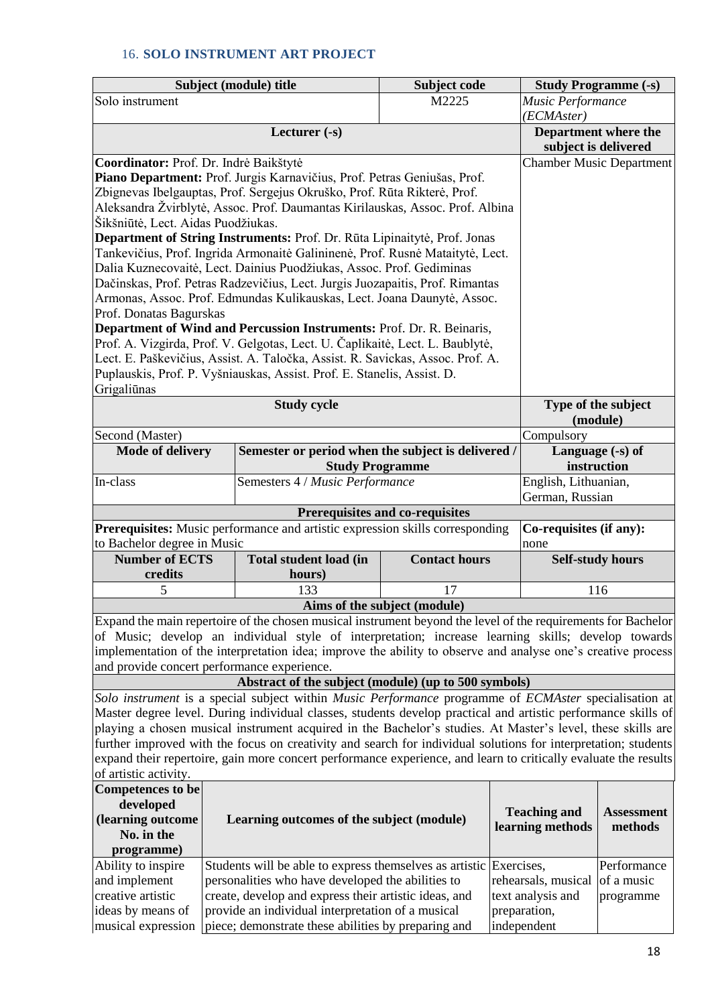## 16. **SOLO INSTRUMENT ART PROJECT**

|                                                                                                                                                                                                                               | Subject (module) title<br>Subject code                                                                  |                                                                                                               |                                 |                     | <b>Study Programme (-s)</b> |                                   |  |  |
|-------------------------------------------------------------------------------------------------------------------------------------------------------------------------------------------------------------------------------|---------------------------------------------------------------------------------------------------------|---------------------------------------------------------------------------------------------------------------|---------------------------------|---------------------|-----------------------------|-----------------------------------|--|--|
| Solo instrument                                                                                                                                                                                                               | M2225                                                                                                   |                                                                                                               |                                 |                     |                             | Music Performance                 |  |  |
|                                                                                                                                                                                                                               |                                                                                                         |                                                                                                               |                                 |                     | (ECMAster)                  |                                   |  |  |
| Lecturer $(-s)$                                                                                                                                                                                                               |                                                                                                         |                                                                                                               |                                 |                     |                             | Department where the              |  |  |
|                                                                                                                                                                                                                               |                                                                                                         |                                                                                                               |                                 |                     | subject is delivered        |                                   |  |  |
| Coordinator: Prof. Dr. Indrė Baikštytė                                                                                                                                                                                        |                                                                                                         |                                                                                                               |                                 |                     |                             | <b>Chamber Music Department</b>   |  |  |
|                                                                                                                                                                                                                               |                                                                                                         | Piano Department: Prof. Jurgis Karnavičius, Prof. Petras Geniušas, Prof.                                      |                                 |                     |                             |                                   |  |  |
|                                                                                                                                                                                                                               |                                                                                                         | Zbignevas Ibelgauptas, Prof. Sergejus Okruško, Prof. Rūta Rikterė, Prof.                                      |                                 |                     |                             |                                   |  |  |
| Šikšniūtė, Lect. Aidas Puodžiukas.                                                                                                                                                                                            |                                                                                                         | Aleksandra Žvirblytė, Assoc. Prof. Daumantas Kirilauskas, Assoc. Prof. Albina                                 |                                 |                     |                             |                                   |  |  |
|                                                                                                                                                                                                                               |                                                                                                         | Department of String Instruments: Prof. Dr. Rūta Lipinaitytė, Prof. Jonas                                     |                                 |                     |                             |                                   |  |  |
|                                                                                                                                                                                                                               |                                                                                                         | Tankevičius, Prof. Ingrida Armonaitė Galininenė, Prof. Rusnė Mataitytė, Lect.                                 |                                 |                     |                             |                                   |  |  |
|                                                                                                                                                                                                                               |                                                                                                         | Dalia Kuznecovaitė, Lect. Dainius Puodžiukas, Assoc. Prof. Gediminas                                          |                                 |                     |                             |                                   |  |  |
|                                                                                                                                                                                                                               |                                                                                                         | Dačinskas, Prof. Petras Radzevičius, Lect. Jurgis Juozapaitis, Prof. Rimantas                                 |                                 |                     |                             |                                   |  |  |
|                                                                                                                                                                                                                               |                                                                                                         | Armonas, Assoc. Prof. Edmundas Kulikauskas, Lect. Joana Daunytė, Assoc.                                       |                                 |                     |                             |                                   |  |  |
| Prof. Donatas Bagurskas                                                                                                                                                                                                       |                                                                                                         |                                                                                                               |                                 |                     |                             |                                   |  |  |
|                                                                                                                                                                                                                               |                                                                                                         | Department of Wind and Percussion Instruments: Prof. Dr. R. Beinaris,                                         |                                 |                     |                             |                                   |  |  |
|                                                                                                                                                                                                                               |                                                                                                         | Prof. A. Vizgirda, Prof. V. Gelgotas, Lect. U. Čaplikaitė, Lect. L. Baublytė,                                 |                                 |                     |                             |                                   |  |  |
|                                                                                                                                                                                                                               |                                                                                                         | Lect. E. Paškevičius, Assist. A. Taločka, Assist. R. Savickas, Assoc. Prof. A.                                |                                 |                     |                             |                                   |  |  |
|                                                                                                                                                                                                                               |                                                                                                         | Puplauskis, Prof. P. Vyšniauskas, Assist. Prof. E. Stanelis, Assist. D.                                       |                                 |                     |                             |                                   |  |  |
| Grigaliūnas                                                                                                                                                                                                                   |                                                                                                         |                                                                                                               |                                 |                     |                             |                                   |  |  |
|                                                                                                                                                                                                                               |                                                                                                         | <b>Study cycle</b>                                                                                            |                                 |                     |                             | Type of the subject               |  |  |
|                                                                                                                                                                                                                               |                                                                                                         |                                                                                                               |                                 |                     | (module)                    |                                   |  |  |
| Second (Master)                                                                                                                                                                                                               |                                                                                                         |                                                                                                               |                                 |                     | Compulsory                  |                                   |  |  |
|                                                                                                                                                                                                                               | Semester or period when the subject is delivered /<br><b>Mode of delivery</b><br><b>Study Programme</b> |                                                                                                               |                                 |                     |                             | Language $(-s)$ of<br>instruction |  |  |
| In-class                                                                                                                                                                                                                      | Semesters 4 / Music Performance                                                                         |                                                                                                               |                                 |                     |                             | English, Lithuanian,              |  |  |
|                                                                                                                                                                                                                               |                                                                                                         |                                                                                                               |                                 |                     | German, Russian             |                                   |  |  |
|                                                                                                                                                                                                                               |                                                                                                         |                                                                                                               | Prerequisites and co-requisites |                     |                             |                                   |  |  |
|                                                                                                                                                                                                                               |                                                                                                         | Prerequisites: Music performance and artistic expression skills corresponding                                 |                                 |                     | Co-requisites (if any):     |                                   |  |  |
| to Bachelor degree in Music                                                                                                                                                                                                   |                                                                                                         |                                                                                                               |                                 |                     | none                        |                                   |  |  |
| <b>Number of ECTS</b>                                                                                                                                                                                                         |                                                                                                         | <b>Total student load (in</b>                                                                                 | <b>Contact hours</b>            |                     | <b>Self-study hours</b>     |                                   |  |  |
| credits                                                                                                                                                                                                                       |                                                                                                         | hours)                                                                                                        |                                 |                     |                             |                                   |  |  |
| 5                                                                                                                                                                                                                             |                                                                                                         | 133                                                                                                           | 17                              |                     | 116                         |                                   |  |  |
|                                                                                                                                                                                                                               |                                                                                                         |                                                                                                               | Aims of the subject (module)    |                     |                             |                                   |  |  |
|                                                                                                                                                                                                                               |                                                                                                         | Expand the main repertoire of the chosen musical instrument beyond the level of the requirements for Bachelor |                                 |                     |                             |                                   |  |  |
| of Music; develop an individual style of interpretation; increase learning skills; develop towards                                                                                                                            |                                                                                                         |                                                                                                               |                                 |                     |                             |                                   |  |  |
| implementation of the interpretation idea; improve the ability to observe and analyse one's creative process                                                                                                                  |                                                                                                         |                                                                                                               |                                 |                     |                             |                                   |  |  |
| and provide concert performance experience.<br>Abstract of the subject (module) (up to 500 symbols)                                                                                                                           |                                                                                                         |                                                                                                               |                                 |                     |                             |                                   |  |  |
|                                                                                                                                                                                                                               |                                                                                                         | Solo instrument is a special subject within Music Performance programme of ECMAster specialisation at         |                                 |                     |                             |                                   |  |  |
|                                                                                                                                                                                                                               |                                                                                                         | Master degree level. During individual classes, students develop practical and artistic performance skills of |                                 |                     |                             |                                   |  |  |
|                                                                                                                                                                                                                               |                                                                                                         |                                                                                                               |                                 |                     |                             |                                   |  |  |
| playing a chosen musical instrument acquired in the Bachelor's studies. At Master's level, these skills are<br>further improved with the focus on creativity and search for individual solutions for interpretation; students |                                                                                                         |                                                                                                               |                                 |                     |                             |                                   |  |  |
| expand their repertoire, gain more concert performance experience, and learn to critically evaluate the results                                                                                                               |                                                                                                         |                                                                                                               |                                 |                     |                             |                                   |  |  |
| of artistic activity.                                                                                                                                                                                                         |                                                                                                         |                                                                                                               |                                 |                     |                             |                                   |  |  |
| <b>Competences</b> to be                                                                                                                                                                                                      |                                                                                                         |                                                                                                               |                                 |                     |                             |                                   |  |  |
| developed                                                                                                                                                                                                                     |                                                                                                         |                                                                                                               |                                 | <b>Teaching and</b> | <b>Assessment</b>           |                                   |  |  |
| (learning outcome                                                                                                                                                                                                             |                                                                                                         | learning methods                                                                                              | methods                         |                     |                             |                                   |  |  |
| No. in the                                                                                                                                                                                                                    |                                                                                                         |                                                                                                               |                                 |                     |                             |                                   |  |  |
| programme)                                                                                                                                                                                                                    |                                                                                                         |                                                                                                               |                                 |                     |                             |                                   |  |  |
| Ability to inspire                                                                                                                                                                                                            |                                                                                                         | Students will be able to express themselves as artistic Exercises,                                            |                                 |                     |                             | Performance                       |  |  |
| and implement                                                                                                                                                                                                                 |                                                                                                         | personalities who have developed the abilities to                                                             |                                 |                     | rehearsals, musical         | of a music                        |  |  |
| creative artistic                                                                                                                                                                                                             |                                                                                                         | create, develop and express their artistic ideas, and                                                         |                                 |                     | text analysis and           | programme                         |  |  |
| ideas by means of                                                                                                                                                                                                             |                                                                                                         | provide an individual interpretation of a musical                                                             |                                 |                     | preparation,                |                                   |  |  |
| musical expression                                                                                                                                                                                                            |                                                                                                         | piece; demonstrate these abilities by preparing and                                                           |                                 |                     | independent                 |                                   |  |  |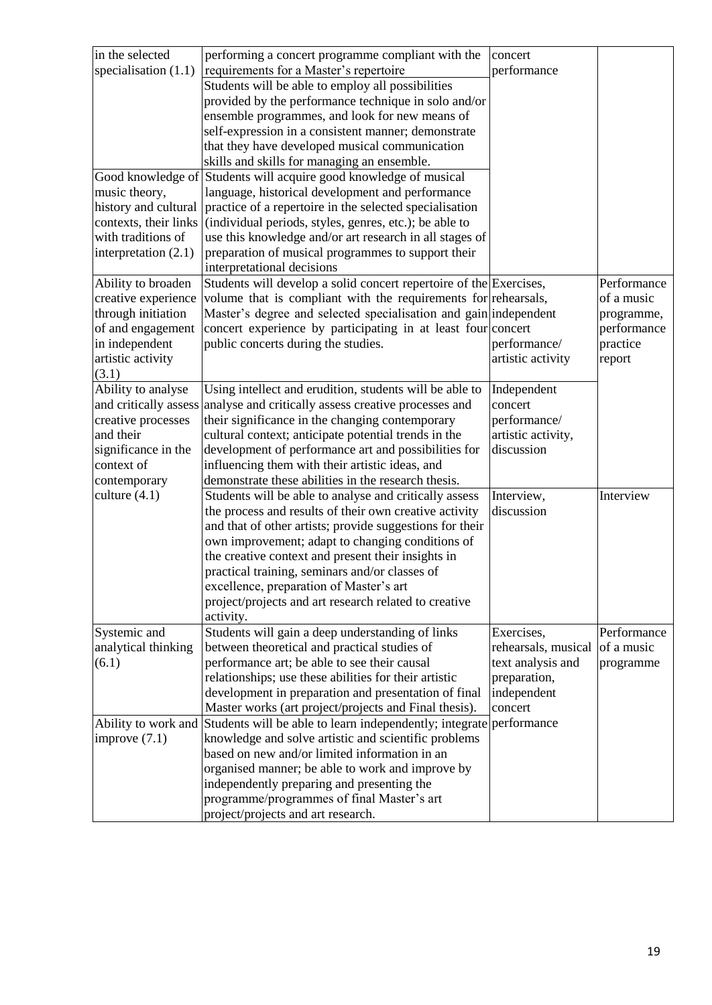| in the selected        | performing a concert programme compliant with the                                                | concert             |             |
|------------------------|--------------------------------------------------------------------------------------------------|---------------------|-------------|
| specialisation $(1.1)$ | requirements for a Master's repertoire                                                           | performance         |             |
|                        | Students will be able to employ all possibilities                                                |                     |             |
|                        | provided by the performance technique in solo and/or                                             |                     |             |
|                        | ensemble programmes, and look for new means of                                                   |                     |             |
|                        | self-expression in a consistent manner; demonstrate                                              |                     |             |
|                        | that they have developed musical communication                                                   |                     |             |
|                        | skills and skills for managing an ensemble.                                                      |                     |             |
|                        | Good knowledge of Students will acquire good knowledge of musical                                |                     |             |
| music theory,          | language, historical development and performance                                                 |                     |             |
| history and cultural   | practice of a repertoire in the selected specialisation                                          |                     |             |
| contexts, their links  | (individual periods, styles, genres, etc.); be able to                                           |                     |             |
| with traditions of     | use this knowledge and/or art research in all stages of                                          |                     |             |
| interpretation $(2.1)$ | preparation of musical programmes to support their                                               |                     |             |
|                        | interpretational decisions                                                                       |                     |             |
| Ability to broaden     | Students will develop a solid concert repertoire of the Exercises,                               |                     | Performance |
| creative experience    | volume that is compliant with the requirements for rehearsals,                                   |                     | of a music  |
| through initiation     | Master's degree and selected specialisation and gain independent                                 |                     | programme,  |
| of and engagement      | concert experience by participating in at least four concert                                     |                     | performance |
| in independent         | public concerts during the studies.                                                              | performance/        | practice    |
| artistic activity      |                                                                                                  | artistic activity   | report      |
| (3.1)                  |                                                                                                  |                     |             |
| Ability to analyse     | Using intellect and erudition, students will be able to                                          | Independent         |             |
| and critically assess  | analyse and critically assess creative processes and                                             | concert             |             |
| creative processes     | their significance in the changing contemporary                                                  | performance/        |             |
| and their              | cultural context; anticipate potential trends in the                                             | artistic activity,  |             |
| significance in the    | development of performance art and possibilities for                                             | discussion          |             |
| context of             | influencing them with their artistic ideas, and                                                  |                     |             |
| contemporary           | demonstrate these abilities in the research thesis.                                              |                     |             |
| culture $(4.1)$        | Students will be able to analyse and critically assess                                           | Interview,          | Interview   |
|                        | the process and results of their own creative activity                                           | discussion          |             |
|                        | and that of other artists; provide suggestions for their                                         |                     |             |
|                        | own improvement; adapt to changing conditions of                                                 |                     |             |
|                        | the creative context and present their insights in                                               |                     |             |
|                        | practical training, seminars and/or classes of                                                   |                     |             |
|                        | excellence, preparation of Master's art<br>project/projects and art research related to creative |                     |             |
|                        | activity.                                                                                        |                     |             |
| Systemic and           | Students will gain a deep understanding of links                                                 | Exercises,          | Performance |
| analytical thinking    | between theoretical and practical studies of                                                     | rehearsals, musical | of a music  |
| (6.1)                  | performance art; be able to see their causal                                                     | text analysis and   | programme   |
|                        | relationships; use these abilities for their artistic                                            | preparation,        |             |
|                        | development in preparation and presentation of final                                             | independent         |             |
|                        | Master works (art project/projects and Final thesis).                                            | concert             |             |
| Ability to work and    | Students will be able to learn independently; integrate performance                              |                     |             |
| improve $(7.1)$        | knowledge and solve artistic and scientific problems                                             |                     |             |
|                        | based on new and/or limited information in an                                                    |                     |             |
|                        | organised manner; be able to work and improve by                                                 |                     |             |
|                        | independently preparing and presenting the                                                       |                     |             |
|                        | programme/programmes of final Master's art                                                       |                     |             |
|                        | project/projects and art research.                                                               |                     |             |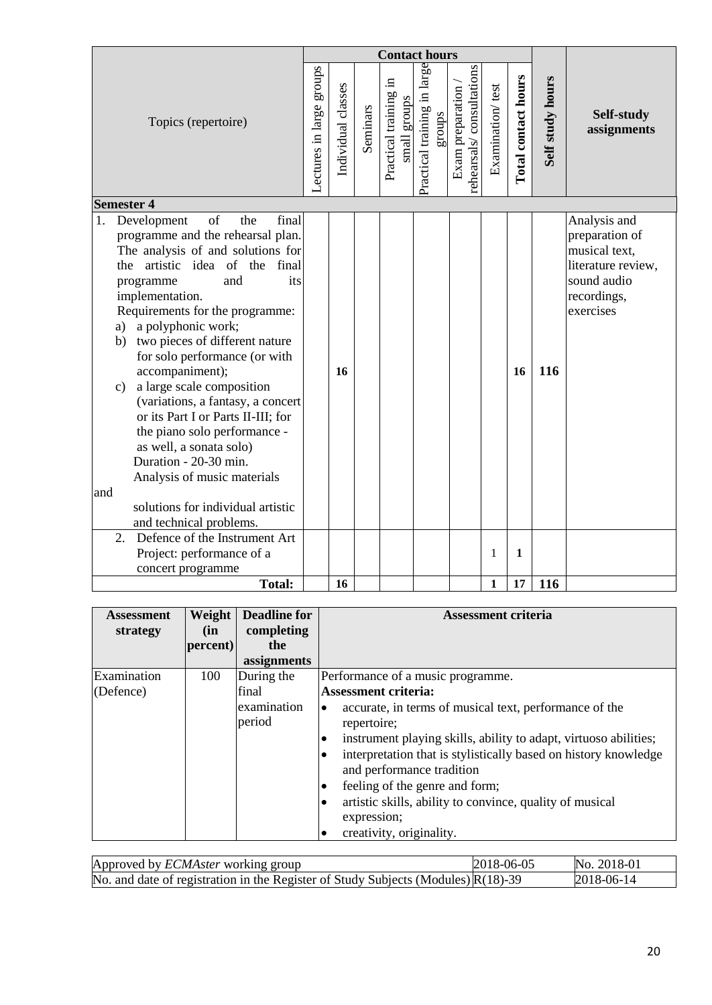|                                                                                                                                                                                                                                                                                                                                                                                                                                                                                                                                                                                                                   | <b>Contact hours</b> |                    |          |                          |              |                                       |                                              |                  |                     |                  |                                                                                                                  |
|-------------------------------------------------------------------------------------------------------------------------------------------------------------------------------------------------------------------------------------------------------------------------------------------------------------------------------------------------------------------------------------------------------------------------------------------------------------------------------------------------------------------------------------------------------------------------------------------------------------------|----------------------|--------------------|----------|--------------------------|--------------|---------------------------------------|----------------------------------------------|------------------|---------------------|------------------|------------------------------------------------------------------------------------------------------------------|
| Topics (repertoire)                                                                                                                                                                                                                                                                                                                                                                                                                                                                                                                                                                                               |                      | Individual classes | Seminars | 크.<br>Practical training | small groups | Practical training in large<br>groups | rehearsals/consultations<br>Exam preparation | Examination/test | Total contact hours | Self study hours | Self-study<br>assignments                                                                                        |
| <b>Semester 4</b>                                                                                                                                                                                                                                                                                                                                                                                                                                                                                                                                                                                                 |                      |                    |          |                          |              |                                       |                                              |                  |                     |                  |                                                                                                                  |
| of<br>final<br>the<br>1.<br>Development<br>programme and the rehearsal plan.<br>The analysis of and solutions for<br>artistic idea of<br>the<br>final<br>the<br>and<br>its<br>programme<br>implementation.<br>Requirements for the programme:<br>a polyphonic work;<br>a)<br>two pieces of different nature<br>b)<br>for solo performance (or with<br>accompaniment);<br>a large scale composition<br>$\mathbf{c})$<br>(variations, a fantasy, a concert<br>or its Part I or Parts II-III; for<br>the piano solo performance -<br>as well, a sonata solo)<br>Duration - 20-30 min.<br>Analysis of music materials |                      | 16                 |          |                          |              |                                       |                                              |                  | 16                  | 116              | Analysis and<br>preparation of<br>musical text,<br>literature review,<br>sound audio<br>recordings,<br>exercises |
| and                                                                                                                                                                                                                                                                                                                                                                                                                                                                                                                                                                                                               |                      |                    |          |                          |              |                                       |                                              |                  |                     |                  |                                                                                                                  |
| solutions for individual artistic                                                                                                                                                                                                                                                                                                                                                                                                                                                                                                                                                                                 |                      |                    |          |                          |              |                                       |                                              |                  |                     |                  |                                                                                                                  |
| and technical problems.                                                                                                                                                                                                                                                                                                                                                                                                                                                                                                                                                                                           |                      |                    |          |                          |              |                                       |                                              |                  |                     |                  |                                                                                                                  |
| Defence of the Instrument Art<br>2.                                                                                                                                                                                                                                                                                                                                                                                                                                                                                                                                                                               |                      |                    |          |                          |              |                                       |                                              |                  |                     |                  |                                                                                                                  |
| Project: performance of a                                                                                                                                                                                                                                                                                                                                                                                                                                                                                                                                                                                         |                      |                    |          |                          |              |                                       |                                              | 1                | 1                   |                  |                                                                                                                  |
| concert programme                                                                                                                                                                                                                                                                                                                                                                                                                                                                                                                                                                                                 |                      |                    |          |                          |              |                                       |                                              |                  |                     |                  |                                                                                                                  |
| <b>Total:</b>                                                                                                                                                                                                                                                                                                                                                                                                                                                                                                                                                                                                     |                      | 16                 |          |                          |              |                                       |                                              | 1                | 17                  | 116              |                                                                                                                  |

| <b>Assessment</b><br>strategy | Weight  <br>(in | <b>Deadline for</b><br>completing | Assessment criteria                                                                                                                                                                                                                                                                                                                                                                                                                                 |
|-------------------------------|-----------------|-----------------------------------|-----------------------------------------------------------------------------------------------------------------------------------------------------------------------------------------------------------------------------------------------------------------------------------------------------------------------------------------------------------------------------------------------------------------------------------------------------|
|                               | percent)        | the                               |                                                                                                                                                                                                                                                                                                                                                                                                                                                     |
|                               |                 | assignments                       |                                                                                                                                                                                                                                                                                                                                                                                                                                                     |
| Examination                   | 100             | During the                        | Performance of a music programme.                                                                                                                                                                                                                                                                                                                                                                                                                   |
| (Defence)                     |                 | final                             | <b>Assessment criteria:</b>                                                                                                                                                                                                                                                                                                                                                                                                                         |
|                               |                 | examination<br>period             | accurate, in terms of musical text, performance of the<br>$\bullet$<br>repertoire;<br>instrument playing skills, ability to adapt, virtuoso abilities;<br>$\bullet$<br>interpretation that is stylistically based on history knowledge<br>$\bullet$<br>and performance tradition<br>feeling of the genre and form;<br>$\bullet$<br>artistic skills, ability to convince, quality of musical<br>$\bullet$<br>expression;<br>creativity, originality. |

| Approved by <i>ECMAster</i> working group                                                     | $ 2018-06-05$ | No. 2018-01    |
|-----------------------------------------------------------------------------------------------|---------------|----------------|
| No. and date of registration in the Register of Study Subjects (Modules) $\mathbb{R}(18)$ -39 |               | $ 2018-06-14 $ |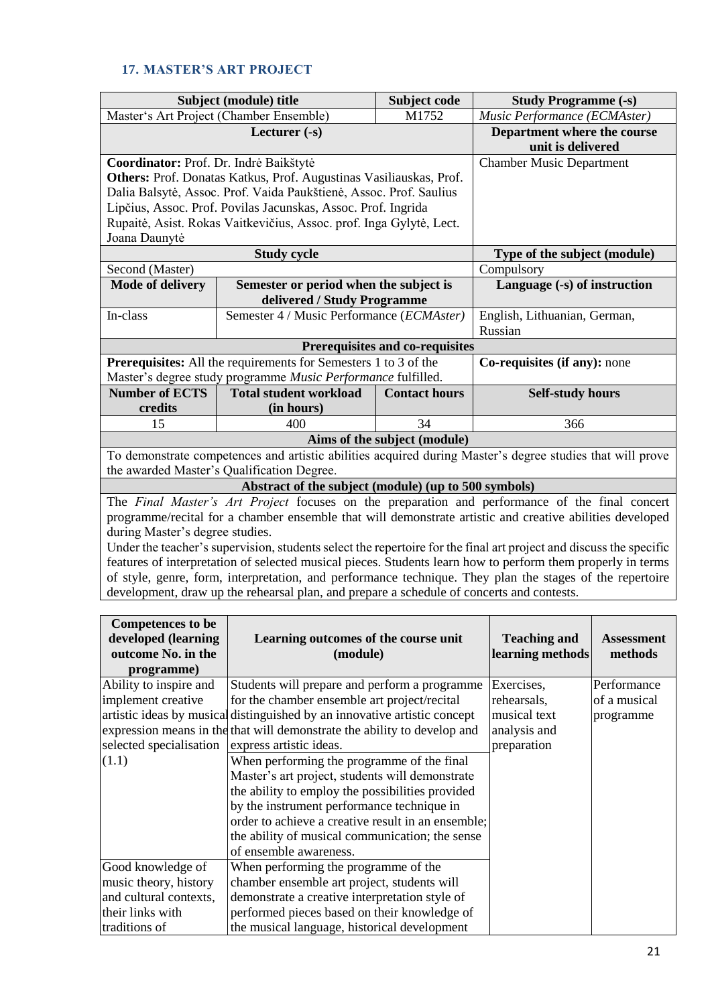## **17. MASTER'S ART PROJECT**

|                                                                                                             | Subject (module) title                                                 | Subject code                           | <b>Study Programme (-s)</b>                                                                                        |  |  |  |  |
|-------------------------------------------------------------------------------------------------------------|------------------------------------------------------------------------|----------------------------------------|--------------------------------------------------------------------------------------------------------------------|--|--|--|--|
|                                                                                                             | Master's Art Project (Chamber Ensemble)                                | Music Performance (ECMAster)           |                                                                                                                    |  |  |  |  |
|                                                                                                             | Lecturer $(-s)$                                                        |                                        | Department where the course                                                                                        |  |  |  |  |
|                                                                                                             |                                                                        |                                        | unit is delivered                                                                                                  |  |  |  |  |
| Coordinator: Prof. Dr. Indrė Baikštytė                                                                      |                                                                        |                                        | <b>Chamber Music Department</b>                                                                                    |  |  |  |  |
|                                                                                                             | Others: Prof. Donatas Katkus, Prof. Augustinas Vasiliauskas, Prof.     |                                        |                                                                                                                    |  |  |  |  |
|                                                                                                             | Dalia Balsytė, Assoc. Prof. Vaida Paukštienė, Assoc. Prof. Saulius     |                                        |                                                                                                                    |  |  |  |  |
|                                                                                                             | Lipčius, Assoc. Prof. Povilas Jacunskas, Assoc. Prof. Ingrida          |                                        |                                                                                                                    |  |  |  |  |
|                                                                                                             | Rupaitė, Asist. Rokas Vaitkevičius, Assoc. prof. Inga Gylytė, Lect.    |                                        |                                                                                                                    |  |  |  |  |
| Joana Daunytė                                                                                               |                                                                        |                                        |                                                                                                                    |  |  |  |  |
|                                                                                                             | <b>Study cycle</b>                                                     |                                        | Type of the subject (module)                                                                                       |  |  |  |  |
| Second (Master)                                                                                             |                                                                        |                                        | Compulsory                                                                                                         |  |  |  |  |
| <b>Mode of delivery</b>                                                                                     | Semester or period when the subject is                                 |                                        | Language (-s) of instruction                                                                                       |  |  |  |  |
|                                                                                                             | delivered / Study Programme                                            |                                        |                                                                                                                    |  |  |  |  |
| In-class                                                                                                    | Semester 4 / Music Performance (ECMAster)                              |                                        | English, Lithuanian, German,                                                                                       |  |  |  |  |
|                                                                                                             |                                                                        |                                        | Russian                                                                                                            |  |  |  |  |
|                                                                                                             |                                                                        | <b>Prerequisites and co-requisites</b> |                                                                                                                    |  |  |  |  |
|                                                                                                             | <b>Prerequisites:</b> All the requirements for Semesters 1 to 3 of the |                                        | Co-requisites (if any): none                                                                                       |  |  |  |  |
|                                                                                                             | Master's degree study programme Music Performance fulfilled.           |                                        |                                                                                                                    |  |  |  |  |
| <b>Number of ECTS</b>                                                                                       | <b>Total student workload</b>                                          | <b>Contact hours</b>                   | <b>Self-study hours</b>                                                                                            |  |  |  |  |
| credits                                                                                                     | (in hours)                                                             |                                        |                                                                                                                    |  |  |  |  |
| 15                                                                                                          | 400                                                                    | 34                                     | 366                                                                                                                |  |  |  |  |
|                                                                                                             |                                                                        | Aims of the subject (module)           |                                                                                                                    |  |  |  |  |
|                                                                                                             |                                                                        |                                        | To demonstrate competences and artistic abilities acquired during Master's degree studies that will prove          |  |  |  |  |
| the awarded Master's Qualification Degree.                                                                  |                                                                        |                                        |                                                                                                                    |  |  |  |  |
| Abstract of the subject (module) (up to 500 symbols)                                                        |                                                                        |                                        |                                                                                                                    |  |  |  |  |
| The Final Master's Art Project focuses on the preparation and performance of the final concert              |                                                                        |                                        |                                                                                                                    |  |  |  |  |
| programme/recital for a chamber ensemble that will demonstrate artistic and creative abilities developed    |                                                                        |                                        |                                                                                                                    |  |  |  |  |
| during Master's degree studies.                                                                             |                                                                        |                                        |                                                                                                                    |  |  |  |  |
|                                                                                                             |                                                                        |                                        | Under the teacher's supervision, students select the repertoire for the final art project and discuss the specific |  |  |  |  |
| features of interpretation of selected musical pieces. Students learn how to perform them properly in terms |                                                                        |                                        |                                                                                                                    |  |  |  |  |

features of interpretation of selected musical pieces. Students learn how to perform them properly in terms of style, genre, form, interpretation, and performance technique. They plan the stages of the repertoire development, draw up the rehearsal plan, and prepare a schedule of concerts and contests.

| <b>Competences to be</b><br>developed (learning<br>outcome No. in the<br>programme) | Learning outcomes of the course unit<br>(module)                          | <b>Teaching and</b><br>learning methods | <b>Assessment</b><br>methods |
|-------------------------------------------------------------------------------------|---------------------------------------------------------------------------|-----------------------------------------|------------------------------|
| Ability to inspire and                                                              | Students will prepare and perform a programme                             | Exercises,                              | Performance                  |
| implement creative                                                                  | for the chamber ensemble art project/recital                              | rehearsals,                             | of a musical                 |
|                                                                                     | artistic ideas by musical distinguished by an innovative artistic concept | musical text                            | programme                    |
|                                                                                     | expression means in the that will demonstrate the ability to develop and  | analysis and                            |                              |
| selected specialisation                                                             | express artistic ideas.                                                   | preparation                             |                              |
| (1.1)                                                                               | When performing the programme of the final                                |                                         |                              |
|                                                                                     | Master's art project, students will demonstrate                           |                                         |                              |
|                                                                                     | the ability to employ the possibilities provided                          |                                         |                              |
|                                                                                     | by the instrument performance technique in                                |                                         |                              |
|                                                                                     | order to achieve a creative result in an ensemble;                        |                                         |                              |
|                                                                                     | the ability of musical communication; the sense                           |                                         |                              |
|                                                                                     | of ensemble awareness.                                                    |                                         |                              |
| Good knowledge of                                                                   | When performing the programme of the                                      |                                         |                              |
| music theory, history                                                               | chamber ensemble art project, students will                               |                                         |                              |
| and cultural contexts,                                                              | demonstrate a creative interpretation style of                            |                                         |                              |
| their links with                                                                    | performed pieces based on their knowledge of                              |                                         |                              |
| traditions of                                                                       | the musical language, historical development                              |                                         |                              |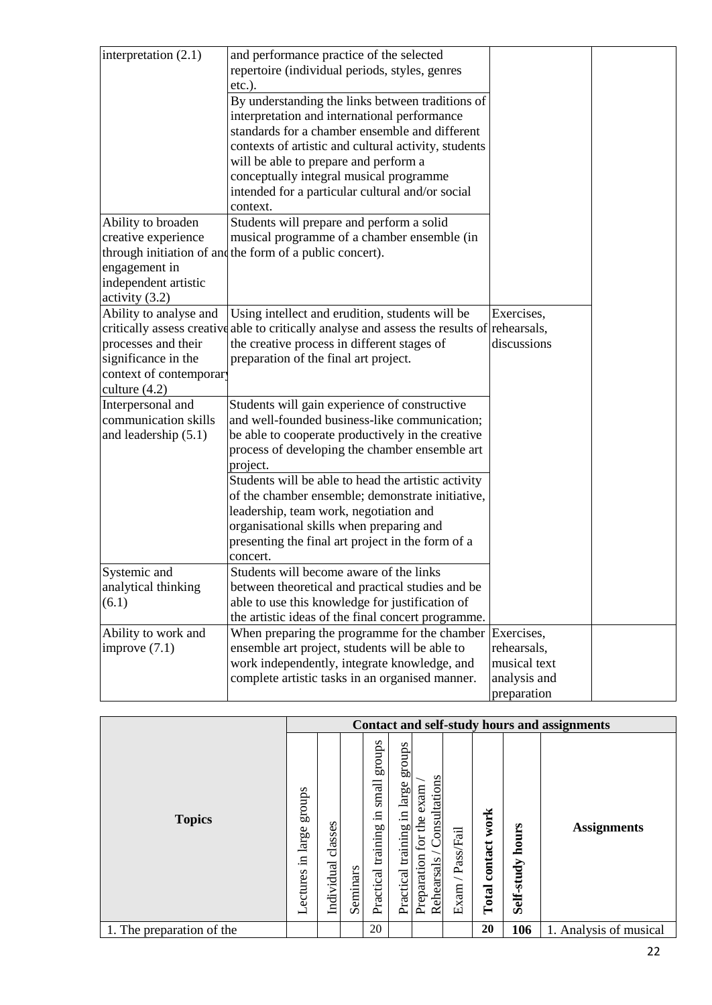| interpretation $(2.1)$  | and performance practice of the selected                                                    |              |
|-------------------------|---------------------------------------------------------------------------------------------|--------------|
|                         | repertoire (individual periods, styles, genres                                              |              |
|                         | $etc.$ ).                                                                                   |              |
|                         | By understanding the links between traditions of                                            |              |
|                         | interpretation and international performance                                                |              |
|                         | standards for a chamber ensemble and different                                              |              |
|                         | contexts of artistic and cultural activity, students                                        |              |
|                         | will be able to prepare and perform a                                                       |              |
|                         | conceptually integral musical programme                                                     |              |
|                         | intended for a particular cultural and/or social                                            |              |
|                         | context.                                                                                    |              |
| Ability to broaden      | Students will prepare and perform a solid                                                   |              |
| creative experience     | musical programme of a chamber ensemble (in                                                 |              |
|                         | through initiation of and the form of a public concert).                                    |              |
| engagement in           |                                                                                             |              |
| independent artistic    |                                                                                             |              |
| activity $(3.2)$        |                                                                                             |              |
| Ability to analyse and  | Using intellect and erudition, students will be                                             | Exercises,   |
|                         | critically assess creative able to critically analyse and assess the results of rehearsals, |              |
| processes and their     | the creative process in different stages of                                                 | discussions  |
| significance in the     | preparation of the final art project.                                                       |              |
| context of contemporary |                                                                                             |              |
| culture $(4.2)$         |                                                                                             |              |
| Interpersonal and       | Students will gain experience of constructive                                               |              |
| communication skills    | and well-founded business-like communication;                                               |              |
| and leadership (5.1)    | be able to cooperate productively in the creative                                           |              |
|                         | process of developing the chamber ensemble art                                              |              |
|                         | project.                                                                                    |              |
|                         | Students will be able to head the artistic activity                                         |              |
|                         | of the chamber ensemble; demonstrate initiative,                                            |              |
|                         | leadership, team work, negotiation and                                                      |              |
|                         | organisational skills when preparing and                                                    |              |
|                         | presenting the final art project in the form of a                                           |              |
|                         | concert.                                                                                    |              |
| Systemic and            | Students will become aware of the links                                                     |              |
| analytical thinking     | between theoretical and practical studies and be                                            |              |
| (6.1)                   | able to use this knowledge for justification of                                             |              |
|                         | the artistic ideas of the final concert programme.                                          |              |
| Ability to work and     | When preparing the programme for the chamber                                                | Exercises,   |
| improve $(7.1)$         | ensemble art project, students will be able to                                              | rehearsals,  |
|                         | work independently, integrate knowledge, and                                                | musical text |
|                         | complete artistic tasks in an organised manner.                                             | analysis and |
|                         |                                                                                             | preparation  |

|                           |                                      |                       |          |                                                            |                                                    |                                                                  |                                               |                          |                     | Contact and self-study hours and assignments |
|---------------------------|--------------------------------------|-----------------------|----------|------------------------------------------------------------|----------------------------------------------------|------------------------------------------------------------------|-----------------------------------------------|--------------------------|---------------------|----------------------------------------------|
| <b>Topics</b>             | groups<br>large<br>$\Xi$<br>Lectures | classes<br>Individual | Seminars | stonbs<br>$\mbox{small}$<br>$\Xi$<br>training<br>Practical | stonbs<br>large<br>$\Xi.$<br>training<br>Practical | Consultations<br>exam<br>the<br>for<br>Preparation<br>Rehearsals | Pass/Fail<br>$\overline{\phantom{0}}$<br>Exam | work<br>contact<br>Total | hours<br>Self-study | <b>Assignments</b>                           |
| 1. The preparation of the |                                      |                       |          | 20                                                         |                                                    |                                                                  |                                               | 20                       | 106                 | 1. Analysis of musical                       |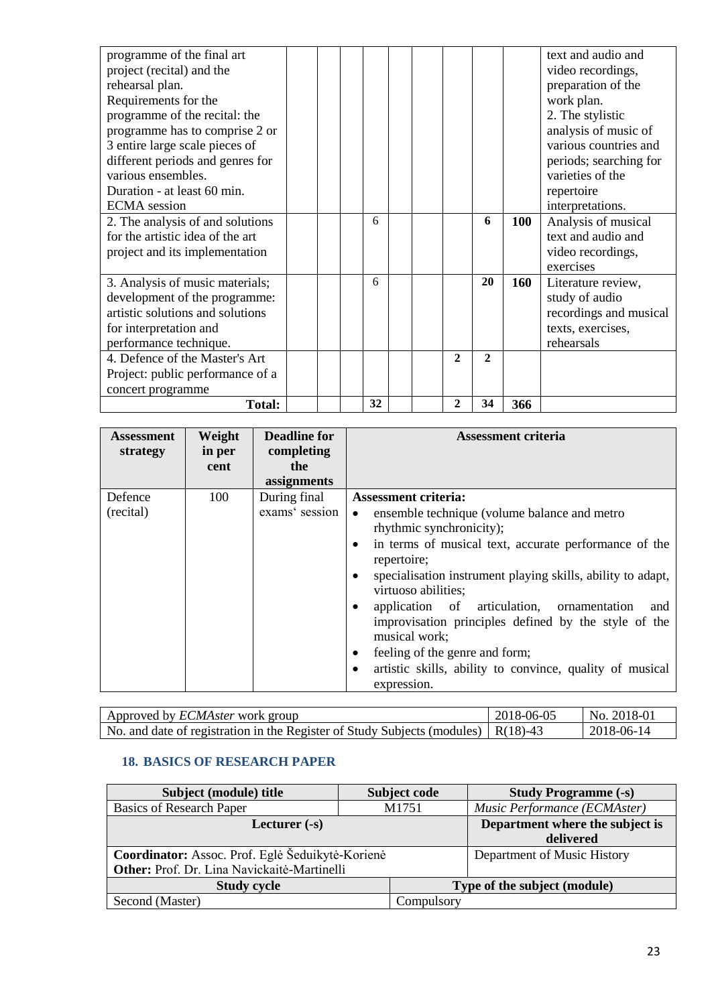| programme of the final art       |  |    |  |              |              |     | text and audio and     |
|----------------------------------|--|----|--|--------------|--------------|-----|------------------------|
| project (recital) and the        |  |    |  |              |              |     | video recordings,      |
| rehearsal plan.                  |  |    |  |              |              |     | preparation of the     |
| Requirements for the             |  |    |  |              |              |     | work plan.             |
| programme of the recital: the    |  |    |  |              |              |     | 2. The stylistic       |
| programme has to comprise 2 or   |  |    |  |              |              |     | analysis of music of   |
| 3 entire large scale pieces of   |  |    |  |              |              |     | various countries and  |
| different periods and genres for |  |    |  |              |              |     | periods; searching for |
| various ensembles.               |  |    |  |              |              |     | varieties of the       |
| Duration - at least 60 min.      |  |    |  |              |              |     | repertoire             |
| <b>ECMA</b> session              |  |    |  |              |              |     | interpretations.       |
| 2. The analysis of and solutions |  | 6  |  |              | 6            | 100 | Analysis of musical    |
| for the artistic idea of the art |  |    |  |              |              |     | text and audio and     |
| project and its implementation   |  |    |  |              |              |     | video recordings,      |
|                                  |  |    |  |              |              |     | exercises              |
| 3. Analysis of music materials;  |  | 6  |  |              | 20           | 160 | Literature review,     |
| development of the programme:    |  |    |  |              |              |     | study of audio         |
| artistic solutions and solutions |  |    |  |              |              |     | recordings and musical |
| for interpretation and           |  |    |  |              |              |     | texts, exercises,      |
| performance technique.           |  |    |  |              |              |     | rehearsals             |
| 4. Defence of the Master's Art   |  |    |  | $\mathbf{2}$ | $\mathbf{2}$ |     |                        |
| Project: public performance of a |  |    |  |              |              |     |                        |
| concert programme                |  |    |  |              |              |     |                        |
| <b>Total:</b>                    |  | 32 |  | $\mathbf{2}$ | 34           | 366 |                        |

| <b>Assessment</b><br>strategy | Weight<br>in per<br>cent | <b>Deadline for</b><br>completing<br>the | Assessment criteria                                                                                                                                                                                                                                                                                                                                                                                                                                                                                              |
|-------------------------------|--------------------------|------------------------------------------|------------------------------------------------------------------------------------------------------------------------------------------------------------------------------------------------------------------------------------------------------------------------------------------------------------------------------------------------------------------------------------------------------------------------------------------------------------------------------------------------------------------|
|                               |                          | assignments                              |                                                                                                                                                                                                                                                                                                                                                                                                                                                                                                                  |
| Defence                       | 100                      | During final                             | <b>Assessment criteria:</b>                                                                                                                                                                                                                                                                                                                                                                                                                                                                                      |
| (recital)                     |                          | exams' session                           | ensemble technique (volume balance and metro<br>$\bullet$<br>rhythmic synchronicity);<br>in terms of musical text, accurate performance of the<br>repertoire;<br>specialisation instrument playing skills, ability to adapt,<br>virtuoso abilities;<br>application of articulation, ornamentation<br>and<br>$\bullet$<br>improvisation principles defined by the style of the<br>musical work;<br>feeling of the genre and form;<br>artistic skills, ability to convince, quality of musical<br>٠<br>expression. |

| Approved by <i>ECMAster</i> work group                                                    | 2018-06-05 | No. 2018-01 |
|-------------------------------------------------------------------------------------------|------------|-------------|
| No. and date of registration in the Register of Study Subjects (modules) $\vert$ R(18)-43 |            | 2018-06-14  |

#### **18. BASICS OF RESEARCH PAPER**

| Subject (module) title                           | Subject code                    | <b>Study Programme (-s)</b>  |
|--------------------------------------------------|---------------------------------|------------------------------|
| <b>Basics of Research Paper</b>                  | M1751                           | Music Performance (ECMAster) |
| Lecturer $(-s)$                                  | Department where the subject is |                              |
|                                                  |                                 | delivered                    |
| Coordinator: Assoc. Prof. Eglė Šeduikytė-Korienė | Department of Music History     |                              |
| Other: Prof. Dr. Lina Navickaitė-Martinelli      |                                 |                              |
| <b>Study cycle</b>                               |                                 | Type of the subject (module) |
| Second (Master)                                  | Compulsory                      |                              |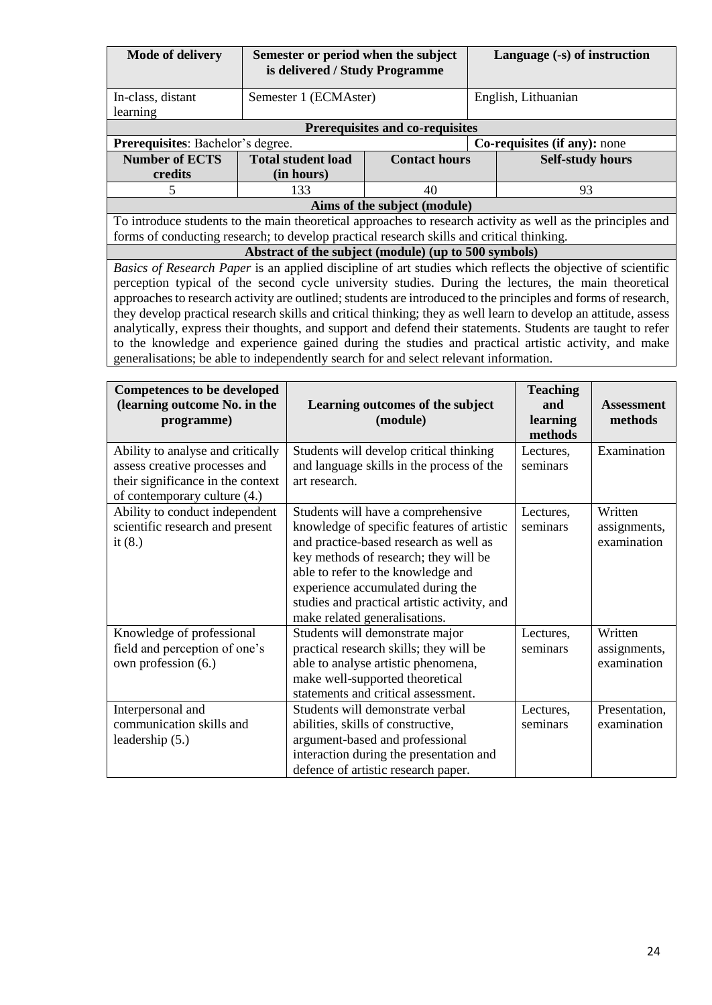| <b>Mode of delivery</b>                                                                             | Semester or period when the subject                  |                                 |    | Language (-s) of instruction                                                                                    |  |  |  |
|-----------------------------------------------------------------------------------------------------|------------------------------------------------------|---------------------------------|----|-----------------------------------------------------------------------------------------------------------------|--|--|--|
|                                                                                                     | is delivered / Study Programme                       |                                 |    |                                                                                                                 |  |  |  |
|                                                                                                     |                                                      |                                 |    |                                                                                                                 |  |  |  |
| In-class, distant                                                                                   | Semester 1 (ECMAster)                                |                                 |    | English, Lithuanian                                                                                             |  |  |  |
| learning                                                                                            |                                                      |                                 |    |                                                                                                                 |  |  |  |
|                                                                                                     |                                                      | Prerequisites and co-requisites |    |                                                                                                                 |  |  |  |
| Prerequisites: Bachelor's degree.                                                                   |                                                      |                                 |    | Co-requisites (if any): none                                                                                    |  |  |  |
| <b>Number of ECTS</b>                                                                               | <b>Total student load</b>                            | <b>Contact hours</b>            |    | <b>Self-study hours</b>                                                                                         |  |  |  |
| credits                                                                                             | (in hours)                                           |                                 |    |                                                                                                                 |  |  |  |
| 5                                                                                                   | 133                                                  | 40                              | 93 |                                                                                                                 |  |  |  |
|                                                                                                     |                                                      | Aims of the subject (module)    |    |                                                                                                                 |  |  |  |
|                                                                                                     |                                                      |                                 |    | To introduce students to the main theoretical approaches to research activity as well as the principles and     |  |  |  |
| forms of conducting research; to develop practical research skills and critical thinking.           |                                                      |                                 |    |                                                                                                                 |  |  |  |
|                                                                                                     | Abstract of the subject (module) (up to 500 symbols) |                                 |    |                                                                                                                 |  |  |  |
|                                                                                                     |                                                      |                                 |    | Basics of Research Paper is an applied discipline of art studies which reflects the objective of scientific     |  |  |  |
|                                                                                                     |                                                      |                                 |    | perception typical of the second cycle university studies. During the lectures, the main theoretical            |  |  |  |
|                                                                                                     |                                                      |                                 |    | approaches to research activity are outlined; students are introduced to the principles and forms of research,  |  |  |  |
|                                                                                                     |                                                      |                                 |    | they develop practical research skills and critical thinking; they as well learn to develop an attitude, assess |  |  |  |
|                                                                                                     |                                                      |                                 |    | analytically, express their thoughts, and support and defend their statements. Students are taught to refer     |  |  |  |
| to the knowledge and experience gained during the studies and practical artistic activity, and make |                                                      |                                 |    |                                                                                                                 |  |  |  |
| generalisations; be able to independently search for and select relevant information.               |                                                      |                                 |    |                                                                                                                 |  |  |  |
|                                                                                                     |                                                      |                                 |    |                                                                                                                 |  |  |  |
| Competences to be developed                                                                         |                                                      |                                 |    | $T$ coching                                                                                                     |  |  |  |

| Competences to be developed                                                                                                             | <b>Teaching</b>                                                                                                                                                                                                                                                                                                                 |                       |                                        |
|-----------------------------------------------------------------------------------------------------------------------------------------|---------------------------------------------------------------------------------------------------------------------------------------------------------------------------------------------------------------------------------------------------------------------------------------------------------------------------------|-----------------------|----------------------------------------|
| (learning outcome No. in the                                                                                                            | and                                                                                                                                                                                                                                                                                                                             | <b>Assessment</b>     |                                        |
| programme)                                                                                                                              | (module)                                                                                                                                                                                                                                                                                                                        | learning<br>methods   | methods                                |
| Ability to analyse and critically<br>assess creative processes and<br>their significance in the context<br>of contemporary culture (4.) | Students will develop critical thinking<br>and language skills in the process of the<br>art research.                                                                                                                                                                                                                           | Lectures,<br>seminars | Examination                            |
| Ability to conduct independent<br>scientific research and present<br>it $(8.)$                                                          | Students will have a comprehensive<br>knowledge of specific features of artistic<br>and practice-based research as well as<br>key methods of research; they will be<br>able to refer to the knowledge and<br>experience accumulated during the<br>studies and practical artistic activity, and<br>make related generalisations. | Lectures,<br>seminars | Written<br>assignments,<br>examination |
| Knowledge of professional<br>field and perception of one's<br>own profession (6.)                                                       | Students will demonstrate major<br>practical research skills; they will be<br>able to analyse artistic phenomena,<br>make well-supported theoretical<br>statements and critical assessment.                                                                                                                                     | Lectures,<br>seminars | Written<br>assignments,<br>examination |
| Interpersonal and<br>communication skills and<br>leadership $(5.)$                                                                      | Students will demonstrate verbal<br>abilities, skills of constructive,<br>argument-based and professional<br>interaction during the presentation and<br>defence of artistic research paper.                                                                                                                                     | Lectures,<br>seminars | Presentation,<br>examination           |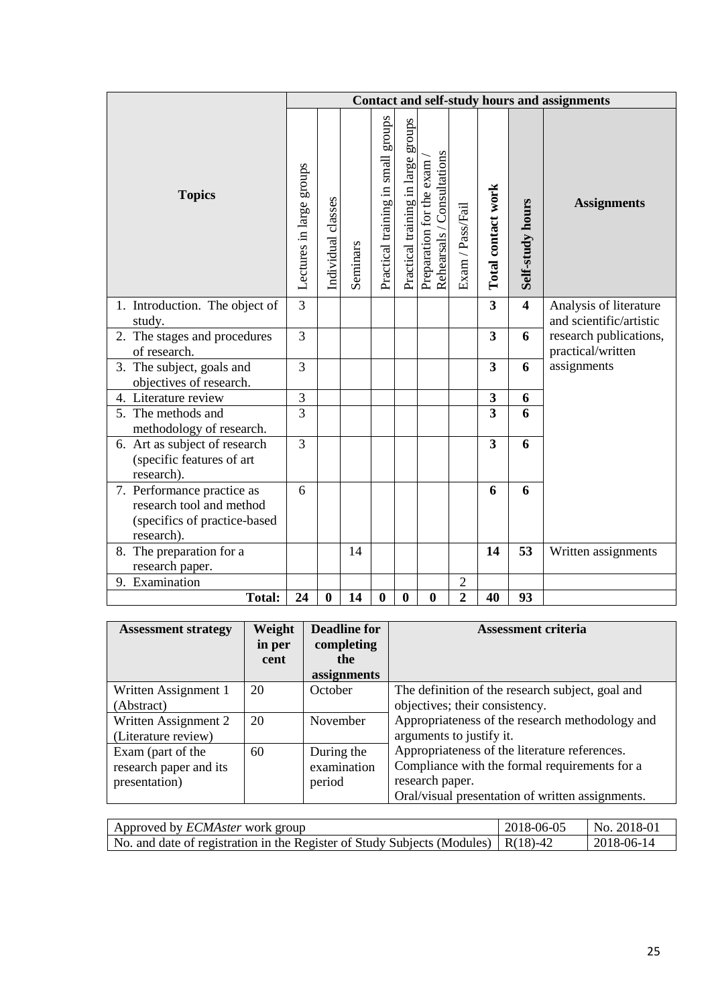|                                                                                                      |                          |                    |          |                                    |                                       |                                                        |                  |                         |                         | <b>Contact and self-study hours and assignments</b> |
|------------------------------------------------------------------------------------------------------|--------------------------|--------------------|----------|------------------------------------|---------------------------------------|--------------------------------------------------------|------------------|-------------------------|-------------------------|-----------------------------------------------------|
| <b>Topics</b>                                                                                        | Lectures in large groups | Individual classes | Seminars | Practical training in small groups | groups<br>Practical training in large | Rehearsals / Consultations<br>Preparation for the exam | Exam / Pass/Fail | Total contact work      | Self-study hours        | <b>Assignments</b>                                  |
| 1. Introduction. The object of<br>study.                                                             | $\overline{3}$           |                    |          |                                    |                                       |                                                        |                  | $\overline{3}$          | $\overline{\mathbf{4}}$ | Analysis of literature<br>and scientific/artistic   |
| 2. The stages and procedures                                                                         | 3                        |                    |          |                                    |                                       |                                                        |                  | 3                       | 6                       | research publications,                              |
| of research.                                                                                         |                          |                    |          |                                    |                                       |                                                        |                  |                         |                         | practical/written                                   |
| 3. The subject, goals and<br>objectives of research.                                                 | 3                        |                    |          |                                    |                                       |                                                        |                  | 3                       | 6                       | assignments                                         |
| 4. Literature review                                                                                 | 3                        |                    |          |                                    |                                       |                                                        |                  | $\mathbf{3}$            | 6                       |                                                     |
| 5. The methods and<br>methodology of research.                                                       | $\overline{3}$           |                    |          |                                    |                                       |                                                        |                  | $\overline{3}$          | 6                       |                                                     |
| 6. Art as subject of research<br>(specific features of art<br>research).                             | $\overline{3}$           |                    |          |                                    |                                       |                                                        |                  | $\overline{\mathbf{3}}$ | 6                       |                                                     |
| 7. Performance practice as<br>research tool and method<br>(specifics of practice-based<br>research). | 6                        |                    |          |                                    |                                       |                                                        |                  | 6                       | 6                       |                                                     |
| 8. The preparation for a<br>research paper.                                                          |                          |                    | 14       |                                    |                                       |                                                        |                  | 14                      | 53                      | Written assignments                                 |
| 9. Examination                                                                                       |                          |                    |          |                                    |                                       |                                                        | $\mathfrak{2}$   |                         |                         |                                                     |
| <b>Total:</b>                                                                                        | 24                       | $\bf{0}$           | 14       | $\bf{0}$                           | $\bf{0}$                              | $\bf{0}$                                               | $\overline{2}$   | 40                      | 93                      |                                                     |

| <b>Assessment strategy</b>                                   | Weight<br>in per<br>cent | <b>Deadline for</b><br>completing<br>the<br>assignments | <b>Assessment criteria</b>                                                                                                                                            |
|--------------------------------------------------------------|--------------------------|---------------------------------------------------------|-----------------------------------------------------------------------------------------------------------------------------------------------------------------------|
| Written Assignment 1<br>(Abstract)                           | 20                       | October                                                 | The definition of the research subject, goal and<br>objectives; their consistency.                                                                                    |
| Written Assignment 2<br>(Literature review)                  | 20                       | November                                                | Appropriateness of the research methodology and<br>arguments to justify it.                                                                                           |
| Exam (part of the<br>research paper and its<br>presentation) | 60                       | During the<br>examination<br>period                     | Appropriateness of the literature references.<br>Compliance with the formal requirements for a<br>research paper.<br>Oral/visual presentation of written assignments. |

| Approved by <i>ECMAster</i> work group                                                                                                                                                                                                                                                                            | 2018-06-05 | $\sqrt{NA}$ No. 2018-01 |
|-------------------------------------------------------------------------------------------------------------------------------------------------------------------------------------------------------------------------------------------------------------------------------------------------------------------|------------|-------------------------|
| No. and date of registration in the Register of Study Subjects (Modules) $\mid R(18)-42 \mid R(18)-42 \mid R(18)-42 \mid R(18)-42 \mid R(18)-42 \mid R(18)-42 \mid R(18)-42 \mid R(18)-42 \mid R(18)-42 \mid R(18)-42 \mid R(18)-42 \mid R(18)-42 \mid R(18)-42 \mid R(18)-42 \mid R(18)-42 \mid R(18)-42 \mid R$ |            | 2018-06-14              |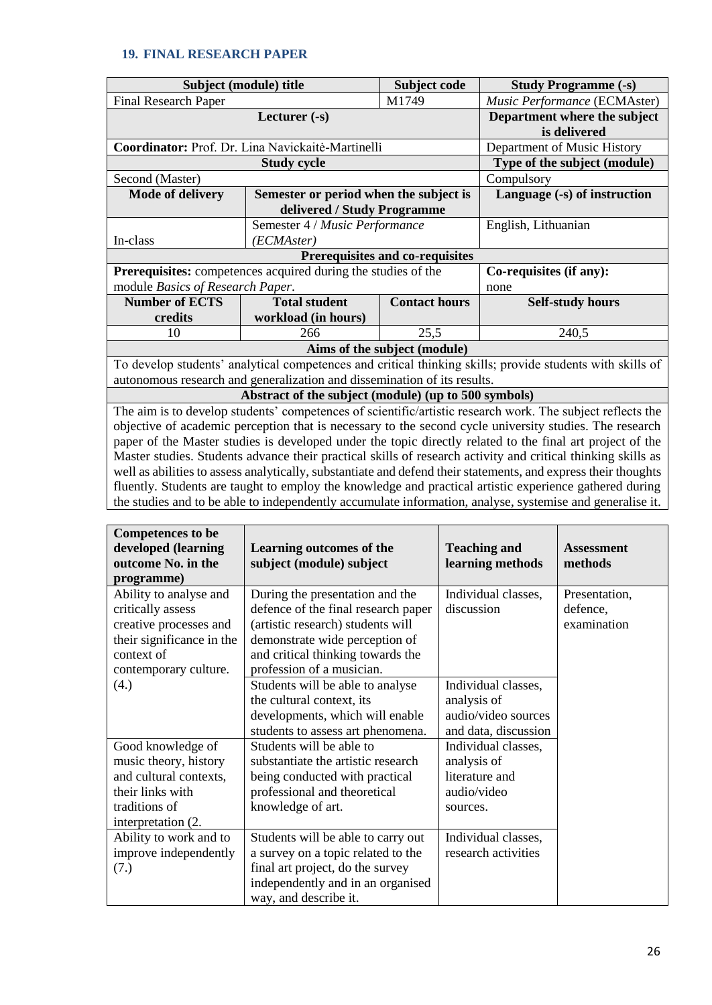#### **19. FINAL RESEARCH PAPER**

|                                                               | Subject (module) title                                                   | Subject code                 | <b>Study Programme (-s)</b>                                                                                    |  |  |  |  |  |
|---------------------------------------------------------------|--------------------------------------------------------------------------|------------------------------|----------------------------------------------------------------------------------------------------------------|--|--|--|--|--|
| <b>Final Research Paper</b>                                   | Music Performance (ECMAster)                                             |                              |                                                                                                                |  |  |  |  |  |
|                                                               | Department where the subject                                             |                              |                                                                                                                |  |  |  |  |  |
|                                                               | is delivered                                                             |                              |                                                                                                                |  |  |  |  |  |
|                                                               | Coordinator: Prof. Dr. Lina Navickaitė-Martinelli                        |                              | Department of Music History                                                                                    |  |  |  |  |  |
|                                                               | <b>Study cycle</b>                                                       |                              | Type of the subject (module)                                                                                   |  |  |  |  |  |
| Second (Master)                                               |                                                                          |                              | Compulsory                                                                                                     |  |  |  |  |  |
| <b>Mode of delivery</b>                                       | Semester or period when the subject is                                   |                              | Language (-s) of instruction                                                                                   |  |  |  |  |  |
|                                                               | delivered / Study Programme                                              |                              |                                                                                                                |  |  |  |  |  |
|                                                               | Semester 4 / Music Performance                                           |                              | English, Lithuanian                                                                                            |  |  |  |  |  |
| In-class                                                      | (ECMAster)                                                               |                              |                                                                                                                |  |  |  |  |  |
| <b>Prerequisites and co-requisites</b>                        |                                                                          |                              |                                                                                                                |  |  |  |  |  |
| Prerequisites: competences acquired during the studies of the | Co-requisites (if any):                                                  |                              |                                                                                                                |  |  |  |  |  |
| module Basics of Research Paper.                              |                                                                          |                              | none                                                                                                           |  |  |  |  |  |
| <b>Number of ECTS</b>                                         | <b>Total student</b>                                                     | <b>Contact hours</b>         | <b>Self-study hours</b>                                                                                        |  |  |  |  |  |
| credits                                                       | workload (in hours)                                                      |                              |                                                                                                                |  |  |  |  |  |
| 10                                                            | 266                                                                      | 25,5                         | 240,5                                                                                                          |  |  |  |  |  |
|                                                               |                                                                          | Aims of the subject (module) |                                                                                                                |  |  |  |  |  |
|                                                               |                                                                          |                              | To develop students' analytical competences and critical thinking skills; provide students with skills of      |  |  |  |  |  |
|                                                               | autonomous research and generalization and dissemination of its results. |                              |                                                                                                                |  |  |  |  |  |
|                                                               | Abstract of the subject (module) (up to 500 symbols)                     |                              |                                                                                                                |  |  |  |  |  |
|                                                               |                                                                          |                              | The aim is to develop students' competences of scientific/artistic research work. The subject reflects the     |  |  |  |  |  |
|                                                               |                                                                          |                              | objective of academic perception that is necessary to the second cycle university studies. The research        |  |  |  |  |  |
|                                                               |                                                                          |                              | paper of the Master studies is developed under the topic directly related to the final art project of the      |  |  |  |  |  |
|                                                               |                                                                          |                              | Master studies. Students advance their practical skills of research activity and critical thinking skills as   |  |  |  |  |  |
|                                                               |                                                                          |                              | well as abilities to assess analytically, substantiate and defend their statements, and express their thoughts |  |  |  |  |  |

fluently. Students are taught to employ the knowledge and practical artistic experience gathered during the studies and to be able to independently accumulate information, analyse, systemise and generalise it.

| <b>Competences to be</b>  |                                     |                      |                   |
|---------------------------|-------------------------------------|----------------------|-------------------|
| developed (learning       | Learning outcomes of the            | <b>Teaching and</b>  | <b>Assessment</b> |
| outcome No. in the        | subject (module) subject            | learning methods     | methods           |
| programme)                |                                     |                      |                   |
| Ability to analyse and    | During the presentation and the     | Individual classes,  | Presentation,     |
| critically assess         | defence of the final research paper | discussion           | defence,          |
| creative processes and    | (artistic research) students will   |                      | examination       |
| their significance in the | demonstrate wide perception of      |                      |                   |
| context of                | and critical thinking towards the   |                      |                   |
| contemporary culture.     | profession of a musician.           |                      |                   |
| (4.)                      | Students will be able to analyse    | Individual classes,  |                   |
|                           | the cultural context, its           | analysis of          |                   |
|                           | developments, which will enable     | audio/video sources  |                   |
|                           | students to assess art phenomena.   | and data, discussion |                   |
| Good knowledge of         | Students will be able to            | Individual classes,  |                   |
| music theory, history     | substantiate the artistic research  | analysis of          |                   |
| and cultural contexts,    | being conducted with practical      | literature and       |                   |
| their links with          | professional and theoretical        | audio/video          |                   |
| traditions of             | knowledge of art.                   | sources.             |                   |
| interpretation (2.        |                                     |                      |                   |
| Ability to work and to    | Students will be able to carry out  | Individual classes,  |                   |
| improve independently     | a survey on a topic related to the  | research activities  |                   |
| (7.)                      | final art project, do the survey    |                      |                   |
|                           | independently and in an organised   |                      |                   |
|                           | way, and describe it.               |                      |                   |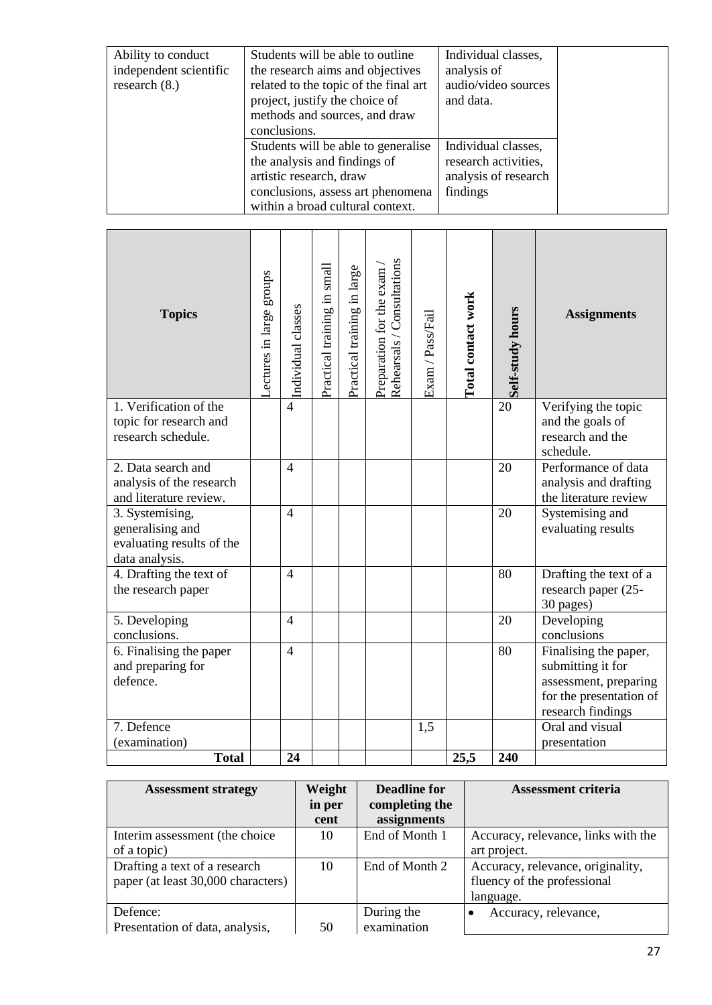| Ability to conduct<br>independent scientific<br>research $(8.)$ | Students will be able to outline<br>the research aims and objectives<br>related to the topic of the final art<br>project, justify the choice of<br>methods and sources, and draw | Individual classes,<br>analysis of<br>audio/video sources<br>and data. |  |
|-----------------------------------------------------------------|----------------------------------------------------------------------------------------------------------------------------------------------------------------------------------|------------------------------------------------------------------------|--|
|                                                                 | conclusions.<br>Students will be able to generalise                                                                                                                              | Individual classes,                                                    |  |
|                                                                 | the analysis and findings of<br>artistic research, draw<br>conclusions, assess art phenomena<br>within a broad cultural context.                                                 | research activities,<br>analysis of research<br>findings               |  |

| <b>Topics</b>                                                                      | ectures in large groups | Individual classes | small<br>Practical training in | Practical training in large | Rehearsals / Consultations<br>Preparation for the exam | Exam / Pass/Fail | Total contact work | Self-study hours | <b>Assignments</b>                                                                                                  |
|------------------------------------------------------------------------------------|-------------------------|--------------------|--------------------------------|-----------------------------|--------------------------------------------------------|------------------|--------------------|------------------|---------------------------------------------------------------------------------------------------------------------|
| 1. Verification of the<br>topic for research and<br>research schedule.             |                         | $\overline{4}$     |                                |                             |                                                        |                  |                    | $\overline{20}$  | Verifying the topic<br>and the goals of<br>research and the<br>schedule.                                            |
| 2. Data search and<br>analysis of the research<br>and literature review.           |                         | $\overline{4}$     |                                |                             |                                                        |                  |                    | 20               | Performance of data<br>analysis and drafting<br>the literature review                                               |
| 3. Systemising,<br>generalising and<br>evaluating results of the<br>data analysis. |                         | $\overline{4}$     |                                |                             |                                                        |                  |                    | 20               | Systemising and<br>evaluating results                                                                               |
| 4. Drafting the text of<br>the research paper                                      |                         | $\overline{4}$     |                                |                             |                                                        |                  |                    | 80               | Drafting the text of a<br>research paper (25-<br>30 pages)                                                          |
| 5. Developing<br>conclusions.                                                      |                         | $\overline{4}$     |                                |                             |                                                        |                  |                    | 20               | Developing<br>conclusions                                                                                           |
| 6. Finalising the paper<br>and preparing for<br>defence.                           |                         | $\overline{4}$     |                                |                             |                                                        |                  |                    | 80               | Finalising the paper,<br>submitting it for<br>assessment, preparing<br>for the presentation of<br>research findings |
| 7. Defence                                                                         |                         |                    |                                |                             |                                                        | 1.5              |                    |                  | Oral and visual                                                                                                     |
| (examination)<br><b>Total</b>                                                      |                         | 24                 |                                |                             |                                                        |                  | 25,5               | 240              | presentation                                                                                                        |

| <b>Assessment strategy</b>         | Weight | <b>Deadline for</b> | <b>Assessment criteria</b>          |
|------------------------------------|--------|---------------------|-------------------------------------|
|                                    | in per | completing the      |                                     |
|                                    | cent   | assignments         |                                     |
| Interim assessment (the choice     | 10     | End of Month 1      | Accuracy, relevance, links with the |
| of a topic)                        |        |                     | art project.                        |
| Drafting a text of a research      | 10     | End of Month 2      | Accuracy, relevance, originality,   |
| paper (at least 30,000 characters) |        |                     | fluency of the professional         |
|                                    |        |                     | language.                           |
| Defence:                           |        | During the          | Accuracy, relevance,                |
| Presentation of data, analysis,    | 50     | examination         |                                     |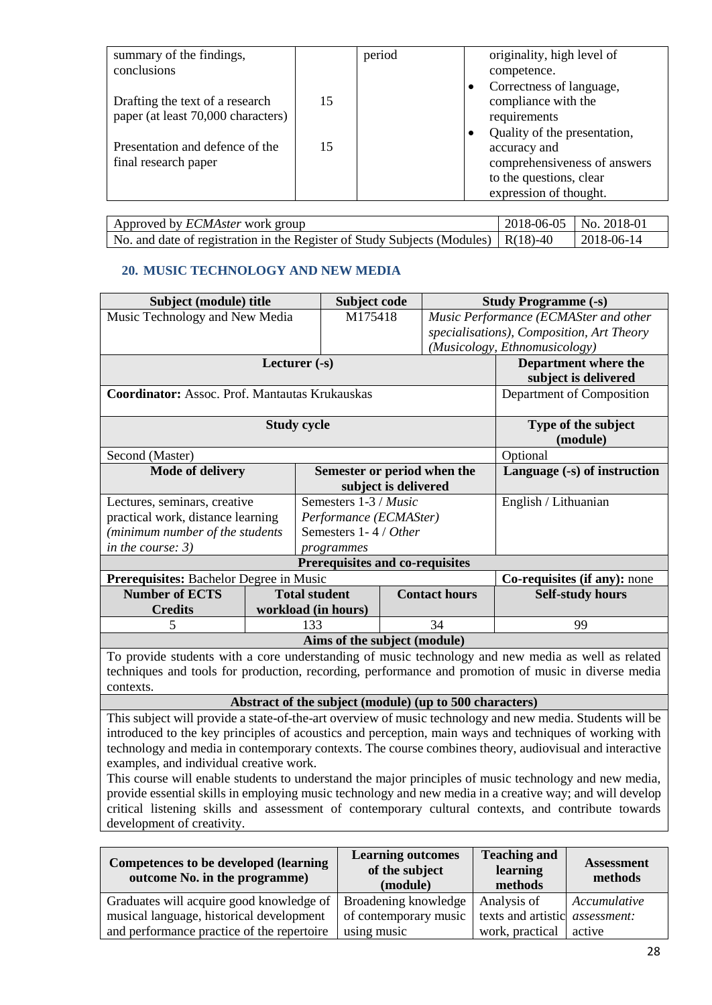| summary of the findings,           |    | period | originality, high level of   |
|------------------------------------|----|--------|------------------------------|
|                                    |    |        |                              |
| conclusions                        |    |        | competence.                  |
|                                    |    |        | Correctness of language,     |
| Drafting the text of a research    | 15 |        | compliance with the          |
| paper (at least 70,000 characters) |    |        | requirements                 |
|                                    |    |        | Quality of the presentation, |
| Presentation and defence of the    | 15 |        | accuracy and                 |
| final research paper               |    |        | comprehensiveness of answers |
|                                    |    |        | to the questions, clear      |
|                                    |    |        | expression of thought.       |

| Approved by <i>ECMAster</i> work group                                                           | $2018-06-05$ No. 2018-01 |
|--------------------------------------------------------------------------------------------------|--------------------------|
| No. and date of registration in the Register of Study Subjects (Modules) $\vert R(18)-40\rangle$ | 2018-06-14               |

## **20. MUSIC TECHNOLOGY AND NEW MEDIA**

| Subject (module) title                                |                    | Subject code                    |                      |                      | <b>Study Programme (-s)</b>                                                                        |  |  |
|-------------------------------------------------------|--------------------|---------------------------------|----------------------|----------------------|----------------------------------------------------------------------------------------------------|--|--|
| Music Technology and New Media                        |                    | M175418                         |                      |                      | Music Performance (ECMASter and other                                                              |  |  |
|                                                       |                    |                                 |                      |                      | specialisations), Composition, Art Theory                                                          |  |  |
|                                                       |                    |                                 |                      |                      | (Musicology, Ethnomusicology)                                                                      |  |  |
|                                                       | Lecturer $(-s)$    |                                 |                      |                      | Department where the                                                                               |  |  |
|                                                       |                    |                                 |                      |                      | subject is delivered                                                                               |  |  |
| <b>Coordinator:</b> Assoc. Prof. Mantautas Krukauskas |                    |                                 |                      |                      | Department of Composition                                                                          |  |  |
|                                                       |                    |                                 |                      |                      |                                                                                                    |  |  |
|                                                       | <b>Study cycle</b> |                                 |                      |                      | Type of the subject                                                                                |  |  |
|                                                       |                    |                                 |                      |                      | (module)                                                                                           |  |  |
| Second (Master)                                       | Optional           |                                 |                      |                      |                                                                                                    |  |  |
| <b>Mode of delivery</b>                               |                    | Semester or period when the     |                      |                      | Language (-s) of instruction                                                                       |  |  |
|                                                       |                    |                                 | subject is delivered |                      |                                                                                                    |  |  |
| Lectures, seminars, creative                          |                    | Semesters 1-3 / Music           |                      |                      | English / Lithuanian                                                                               |  |  |
| practical work, distance learning                     |                    | Performance (ECMASter)          |                      |                      |                                                                                                    |  |  |
| (minimum number of the students                       |                    | Semesters 1-4 / Other           |                      |                      |                                                                                                    |  |  |
| in the course: $3)$                                   |                    | programmes                      |                      |                      |                                                                                                    |  |  |
|                                                       |                    | Prerequisites and co-requisites |                      |                      |                                                                                                    |  |  |
| Prerequisites: Bachelor Degree in Music               |                    |                                 |                      |                      | Co-requisites (if any): none                                                                       |  |  |
| <b>Number of ECTS</b>                                 |                    | <b>Total student</b>            |                      | <b>Contact hours</b> | <b>Self-study hours</b>                                                                            |  |  |
| <b>Credits</b>                                        |                    | workload (in hours)             |                      |                      |                                                                                                    |  |  |
| 5                                                     |                    | 133                             |                      | 34                   | 99                                                                                                 |  |  |
|                                                       |                    | Aims of the subject (module)    |                      |                      |                                                                                                    |  |  |
|                                                       |                    |                                 |                      |                      | To provide students with a core understanding of music technology and new media as well as related |  |  |

techniques and tools for production, recording, performance and promotion of music in diverse media contexts.

**Abstract of the subject (module) (up to 500 characters)**

This subject will provide a state-of-the-art overview of music technology and new media. Students will be introduced to the key principles of acoustics and perception, main ways and techniques of working with technology and media in contemporary contexts. The course combines theory, audiovisual and interactive examples, and individual creative work.

This course will enable students to understand the major principles of music technology and new media, provide essential skills in employing music technology and new media in a creative way; and will develop critical listening skills and assessment of contemporary cultural contexts, and contribute towards development of creativity.

| Competences to be developed (learning<br>outcome No. in the programme) | <b>Learning outcomes</b><br>of the subject<br>(module) | <b>Teaching and</b><br>learning<br>methods | <b>Assessment</b><br>methods |
|------------------------------------------------------------------------|--------------------------------------------------------|--------------------------------------------|------------------------------|
| Graduates will acquire good knowledge of                               | Broadening knowledge                                   | Analysis of                                | Accumulative                 |
| musical language, historical development                               | of contemporary music                                  | texts and artistic <i>assessment</i> :     |                              |
| and performance practice of the repertoire                             | using music                                            | work, practical                            | active                       |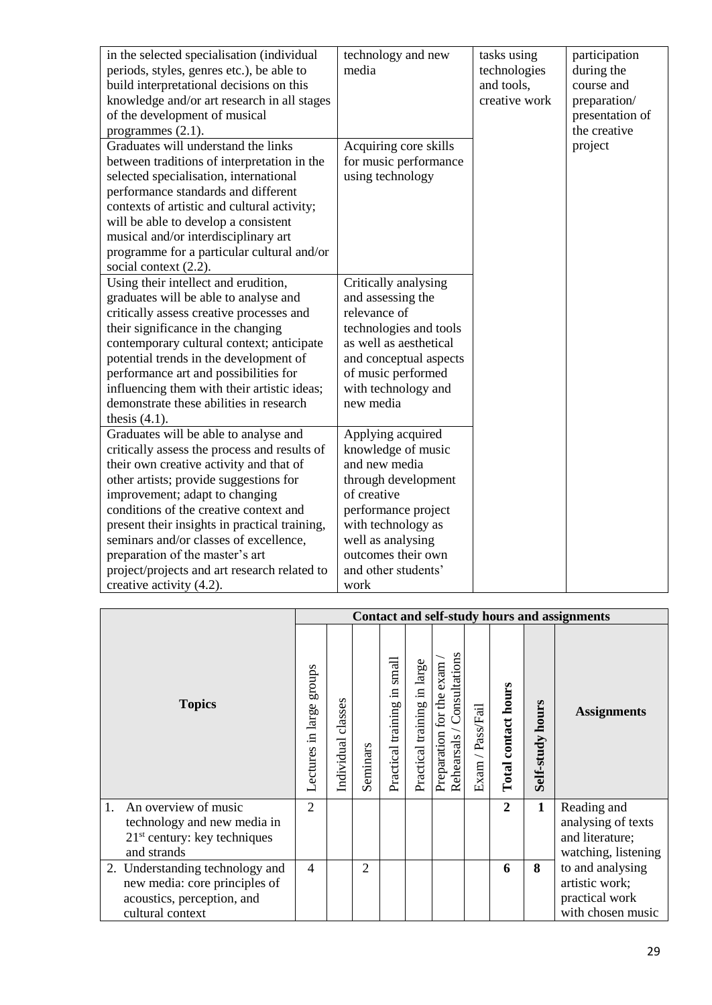| in the selected specialisation (individual<br>periods, styles, genres etc.), be able to<br>build interpretational decisions on this<br>knowledge and/or art research in all stages<br>of the development of musical<br>programmes $(2.1)$ .                                                                                                                                                                                                                      | technology and new<br>media                                                                                                                                                                                           | tasks using<br>technologies<br>and tools,<br>creative work | participation<br>during the<br>course and<br>preparation/<br>presentation of<br>the creative |
|------------------------------------------------------------------------------------------------------------------------------------------------------------------------------------------------------------------------------------------------------------------------------------------------------------------------------------------------------------------------------------------------------------------------------------------------------------------|-----------------------------------------------------------------------------------------------------------------------------------------------------------------------------------------------------------------------|------------------------------------------------------------|----------------------------------------------------------------------------------------------|
| Graduates will understand the links<br>between traditions of interpretation in the<br>selected specialisation, international<br>performance standards and different<br>contexts of artistic and cultural activity;<br>will be able to develop a consistent<br>musical and/or interdisciplinary art<br>programme for a particular cultural and/or<br>social context $(2.2)$ .                                                                                     | Acquiring core skills<br>for music performance<br>using technology                                                                                                                                                    |                                                            | project                                                                                      |
| Using their intellect and erudition,<br>graduates will be able to analyse and<br>critically assess creative processes and<br>their significance in the changing<br>contemporary cultural context; anticipate<br>potential trends in the development of<br>performance art and possibilities for<br>influencing them with their artistic ideas;<br>demonstrate these abilities in research<br>thesis $(4.1)$ .                                                    | Critically analysing<br>and assessing the<br>relevance of<br>technologies and tools<br>as well as aesthetical<br>and conceptual aspects<br>of music performed<br>with technology and<br>new media                     |                                                            |                                                                                              |
| Graduates will be able to analyse and<br>critically assess the process and results of<br>their own creative activity and that of<br>other artists; provide suggestions for<br>improvement; adapt to changing<br>conditions of the creative context and<br>present their insights in practical training,<br>seminars and/or classes of excellence,<br>preparation of the master's art<br>project/projects and art research related to<br>creative activity (4.2). | Applying acquired<br>knowledge of music<br>and new media<br>through development<br>of creative<br>performance project<br>with technology as<br>well as analysing<br>outcomes their own<br>and other students'<br>work |                                                            |                                                                                              |

|                                                                                                                    | Contact and self-study hours and assignments |                       |                |                                   |                             |                                                           |                  |                     |                  |                                                                             |
|--------------------------------------------------------------------------------------------------------------------|----------------------------------------------|-----------------------|----------------|-----------------------------------|-----------------------------|-----------------------------------------------------------|------------------|---------------------|------------------|-----------------------------------------------------------------------------|
| <b>Topics</b>                                                                                                      |                                              | classes<br>Individual | Seminars       | small<br>Ξ.<br>Practical training | Practical training in large | Rehearsals / Consultations<br>exam<br>Preparation for the | Exam / Pass/Fail | Total contact hours | Self-study hours | <b>Assignments</b>                                                          |
| 1.<br>An overview of music<br>technology and new media in<br>$21st$ century: key techniques<br>and strands         | $\overline{2}$                               |                       |                |                                   |                             |                                                           |                  | $\overline{2}$      | $\mathbf{1}$     | Reading and<br>analysing of texts<br>and literature;<br>watching, listening |
| 2. Understanding technology and<br>new media: core principles of<br>acoustics, perception, and<br>cultural context | $\overline{4}$                               |                       | $\overline{2}$ |                                   |                             |                                                           |                  | 6                   | 8                | to and analysing<br>artistic work;<br>practical work<br>with chosen music   |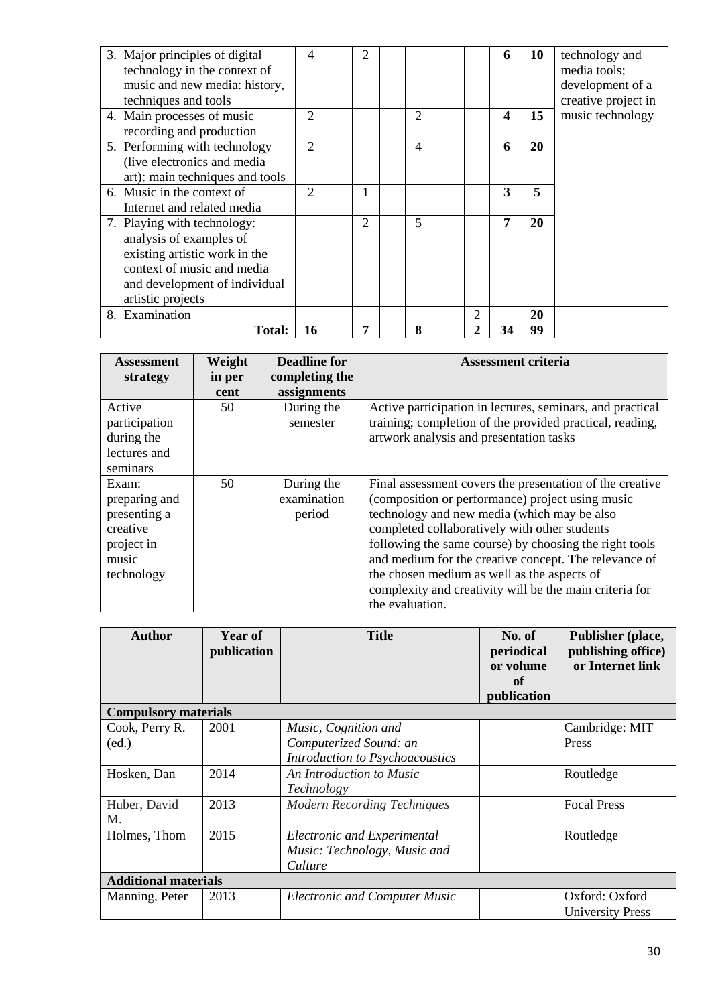| 3. Major principles of digital<br>technology in the context of<br>music and new media: history,<br>techniques and tools                                                     | $\overline{4}$ | 2              |                |                | 6                       | 10 | technology and<br>media tools;<br>development of a<br>creative project in |
|-----------------------------------------------------------------------------------------------------------------------------------------------------------------------------|----------------|----------------|----------------|----------------|-------------------------|----|---------------------------------------------------------------------------|
| 4. Main processes of music<br>recording and production                                                                                                                      | $\overline{2}$ |                | 2              |                | $\overline{\mathbf{4}}$ | 15 | music technology                                                          |
| 5. Performing with technology<br>(live electronics and media<br>art): main techniques and tools                                                                             | $\overline{2}$ |                | $\overline{4}$ |                | 6                       | 20 |                                                                           |
| 6. Music in the context of<br>Internet and related media                                                                                                                    | $\overline{2}$ |                |                |                | 3                       | 5  |                                                                           |
| 7. Playing with technology:<br>analysis of examples of<br>existing artistic work in the<br>context of music and media<br>and development of individual<br>artistic projects |                | $\mathfrak{D}$ | 5              |                | 7                       | 20 |                                                                           |
| 8. Examination                                                                                                                                                              |                |                |                | $\mathfrak{D}$ |                         | 20 |                                                                           |
| <b>Total:</b>                                                                                                                                                               | 16             | 7              | 8              | 2              | 34                      | 99 |                                                                           |

| <b>Assessment</b> | Weight | <b>Deadline for</b> | <b>Assessment criteria</b>                                |
|-------------------|--------|---------------------|-----------------------------------------------------------|
| strategy          | in per | completing the      |                                                           |
|                   | cent   | assignments         |                                                           |
| Active            | 50     | During the          | Active participation in lectures, seminars, and practical |
| participation     |        | semester            | training; completion of the provided practical, reading,  |
| during the        |        |                     | artwork analysis and presentation tasks                   |
| lectures and      |        |                     |                                                           |
| seminars          |        |                     |                                                           |
| Exam:             | 50     | During the          | Final assessment covers the presentation of the creative  |
| preparing and     |        | examination         | (composition or performance) project using music          |
| presenting a      |        | period              | technology and new media (which may be also               |
| creative          |        |                     | completed collaboratively with other students             |
| project in        |        |                     | following the same course) by choosing the right tools    |
| music             |        |                     | and medium for the creative concept. The relevance of     |
| technology        |        |                     | the chosen medium as well as the aspects of               |
|                   |        |                     | complexity and creativity will be the main criteria for   |
|                   |        |                     | the evaluation.                                           |

| <b>Author</b>               | <b>Year of</b><br>publication | <b>Title</b>                         | No. of<br>periodical<br>or volume<br>of<br>publication | Publisher (place,<br>publishing office)<br>or Internet link |  |  |
|-----------------------------|-------------------------------|--------------------------------------|--------------------------------------------------------|-------------------------------------------------------------|--|--|
| <b>Compulsory materials</b> |                               |                                      |                                                        |                                                             |  |  |
| Cook, Perry R.              | 2001                          | Music, Cognition and                 |                                                        | Cambridge: MIT                                              |  |  |
| (ed.)                       |                               | Computerized Sound: an               |                                                        | Press                                                       |  |  |
|                             |                               | Introduction to Psychoacoustics      |                                                        |                                                             |  |  |
| Hosken, Dan                 | 2014                          | An Introduction to Music             |                                                        | Routledge                                                   |  |  |
|                             |                               | Technology                           |                                                        |                                                             |  |  |
| Huber, David                | 2013                          | <b>Modern Recording Techniques</b>   |                                                        | <b>Focal Press</b>                                          |  |  |
| M.                          |                               |                                      |                                                        |                                                             |  |  |
| Holmes, Thom                | 2015                          | <b>Electronic and Experimental</b>   |                                                        | Routledge                                                   |  |  |
|                             |                               | Music: Technology, Music and         |                                                        |                                                             |  |  |
|                             |                               | Culture                              |                                                        |                                                             |  |  |
| <b>Additional materials</b> |                               |                                      |                                                        |                                                             |  |  |
| Manning, Peter              | 2013                          | <b>Electronic and Computer Music</b> |                                                        | Oxford: Oxford                                              |  |  |
|                             |                               |                                      |                                                        | University Press                                            |  |  |